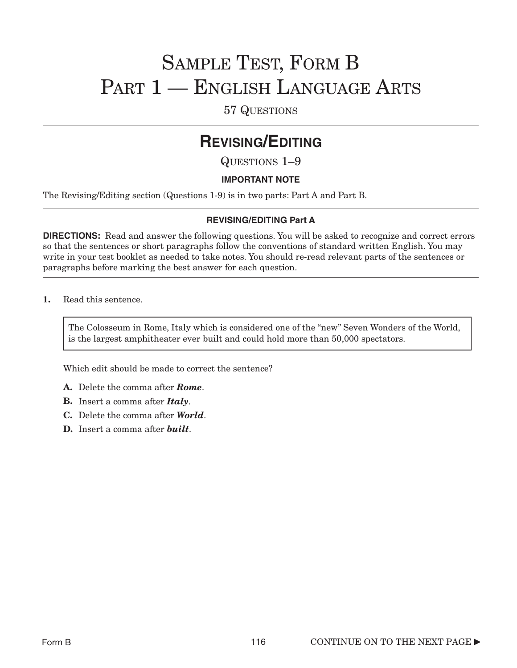# SAMPLE TEST, FORM B PART 1 – ENGLISH LANGUAGE ARTS

57 QUESTIONS

## **REVISING/EDITING**

QUESTIONS 1–9

#### **IMPORTANT NOTE**

The Revising/Editing section (Questions 1-9) is in two parts: Part A and Part B.

#### **REVISING/EDITING Part A**

**DIRECTIONS:** Read and answer the following questions. You will be asked to recognize and correct errors so that the sentences or short paragraphs follow the conventions of standard written English. You may write in your test booklet as needed to take notes. You should re-read relevant parts of the sentences or paragraphs before marking the best answer for each question.

1. Read this sentence.

The Colosseum in Rome, Italy which is considered one of the "new" Seven Wonders of the World, is the largest amphitheater ever built and could hold more than 50,000 spectators.

Which edit should be made to correct the sentence?

- A. Delete the comma after *Rome*.
- B. Insert a comma after *Italy*.
- C. Delete the comma after *World*.
- D. Insert a comma after *built*.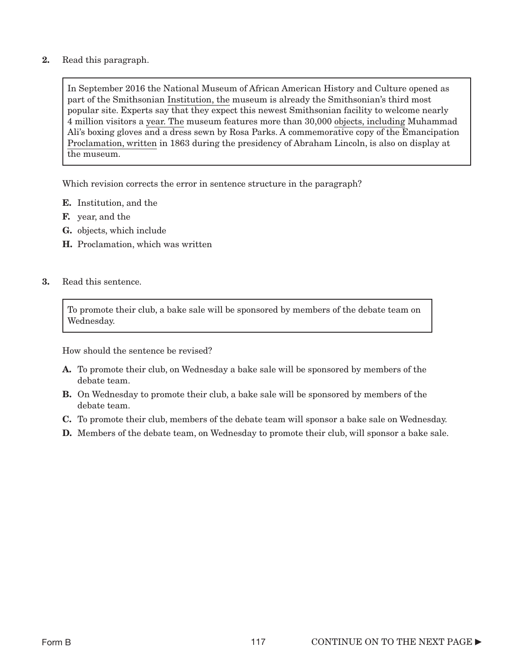2. Read this paragraph.

In September 2016 the National Museum of African American History and Culture opened as part of the Smithsonian Institution, the museum is already the Smithsonian's third most popular site. Experts say that they expect this newest Smithsonian facility to welcome nearly 4 million visitors a year. The museum features more than 30,000 objects, including Muhammad Ali's boxing gloves and a dress sewn by Rosa Parks. A commemorative copy of the Emancipation Proclamation, written in 1863 during the presidency of Abraham Lincoln, is also on display at the museum.

Which revision corrects the error in sentence structure in the paragraph?

- E. Institution, and the
- F. year, and the
- G. objects, which include
- H. Proclamation, which was written
- 3. Read this sentence.

To promote their club, a bake sale will be sponsored by members of the debate team on Wednesday.

How should the sentence be revised?

- A. To promote their club, on Wednesday a bake sale will be sponsored by members of the debate team.
- **B.** On Wednesday to promote their club, a bake sale will be sponsored by members of the debate team.
- C. To promote their club, members of the debate team will sponsor a bake sale on Wednesday.
- D. Members of the debate team, on Wednesday to promote their club, will sponsor a bake sale.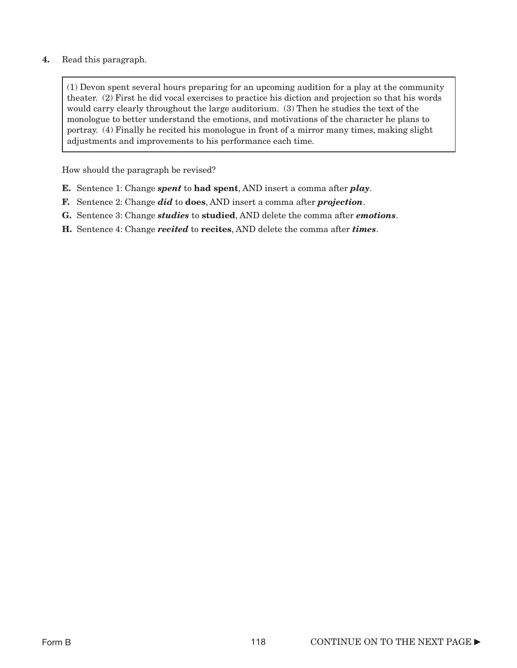#### 4. Read this paragraph.

(1) Devon spent several hours preparing for an upcoming audition for a play at the community theater. (2) First he did vocal exercises to practice his diction and projection so that his words would carry clearly throughout the large auditorium. (3) Then he studies the text of the monologue to better understand the emotions, and motivations of the character he plans to portray. (4) Finally he recited his monologue in front of a mirror many times, making slight adjustments and improvements to his performance each time.

How should the paragraph be revised?

- E. Sentence 1: Change *spent* to had spent, AND insert a comma after *play*.
- F. Sentence 2: Change *did* to does, AND insert a comma after *projection*.
- G. Sentence 3: Change *studies* to studied, AND delete the comma after *emotions*.
- H. Sentence 4: Change *recited* to recites, AND delete the comma after *times*.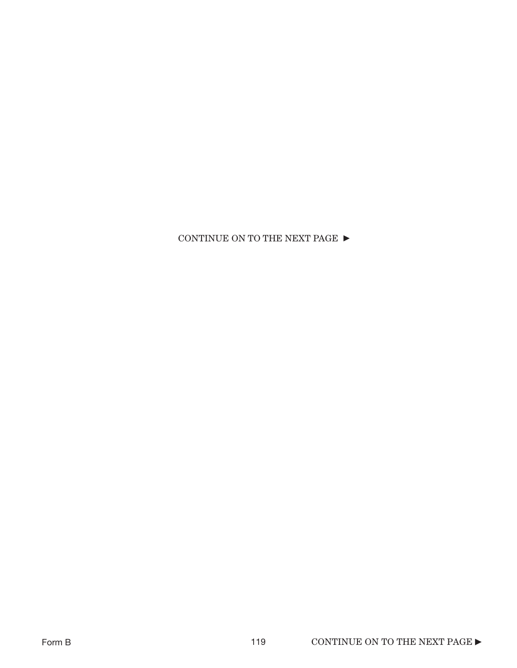CONTINUE ON TO THE NEXT PAGE  $\blacktriangleright$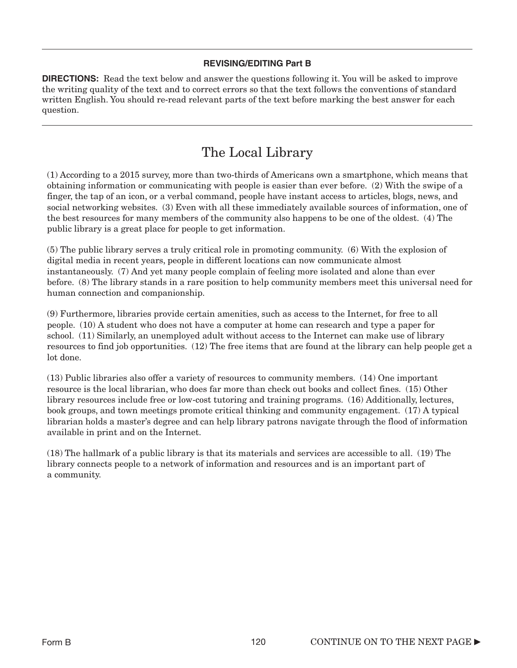#### **REVISING/EDITING Part B**

**DIRECTIONS:** Read the text below and answer the questions following it. You will be asked to improve the writing quality of the text and to correct errors so that the text follows the conventions of standard written English. You should re-read relevant parts of the text before marking the best answer for each question.

### The Local Library

(1) According to a 2015 survey, more than two-thirds of Americans own a smartphone, which means that obtaining information or communicating with people is easier than ever before. (2) With the swipe of a finger, the tap of an icon, or a verbal command, people have instant access to articles, blogs, news, and social networking websites. (3) Even with all these immediately available sources of information, one of the best resources for many members of the community also happens to be one of the oldest. (4) The public library is a great place for people to get information.

(5) The public library serves a truly critical role in promoting community. (6) With the explosion of digital media in recent years, people in different locations can now communicate almost instantaneously. (7) And yet many people complain of feeling more isolated and alone than ever before. (8) The library stands in a rare position to help community members meet this universal need for human connection and companionship.

(9) Furthermore, libraries provide certain amenities, such as access to the Internet, for free to all people. (10) A student who does not have a computer at home can research and type a paper for school. (11) Similarly, an unemployed adult without access to the Internet can make use of library resources to find job opportunities. (12) The free items that are found at the library can help people get a lot done.

(13) Public libraries also offer a variety of resources to community members. (14) One important resource is the local librarian, who does far more than check out books and collect fines. (15) Other library resources include free or low-cost tutoring and training programs. (16) Additionally, lectures, book groups, and town meetings promote critical thinking and community engagement. (17) A typical librarian holds a master's degree and can help library patrons navigate through the flood of information available in print and on the Internet.

(18) The hallmark of a public library is that its materials and services are accessible to all. (19) The library connects people to a network of information and resources and is an important part of a community.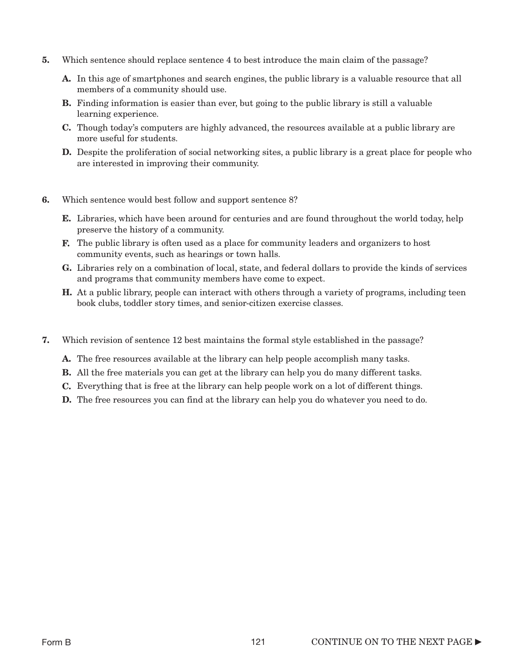- 5. Which sentence should replace sentence 4 to best introduce the main claim of the passage?
	- A. In this age of smartphones and search engines, the public library is a valuable resource that all members of a community should use.
	- **B.** Finding information is easier than ever, but going to the public library is still a valuable learning experience.
	- C. Though today's computers are highly advanced, the resources available at a public library are more useful for students.
	- **D.** Despite the proliferation of social networking sites, a public library is a great place for people who are interested in improving their community.
- 6. Which sentence would best follow and support sentence 8?
	- **E.** Libraries, which have been around for centuries and are found throughout the world today, help preserve the history of a community.
	- F. The public library is often used as a place for community leaders and organizers to host community events, such as hearings or town halls.
	- G. Libraries rely on a combination of local, state, and federal dollars to provide the kinds of services and programs that community members have come to expect.
	- H. At a public library, people can interact with others through a variety of programs, including teen book clubs, toddler story times, and senior-citizen exercise classes.
- 7. Which revision of sentence 12 best maintains the formal style established in the passage?
	- A. The free resources available at the library can help people accomplish many tasks.
	- B. All the free materials you can get at the library can help you do many different tasks.
	- C. Everything that is free at the library can help people work on a lot of different things.
	- D. The free resources you can find at the library can help you do whatever you need to do.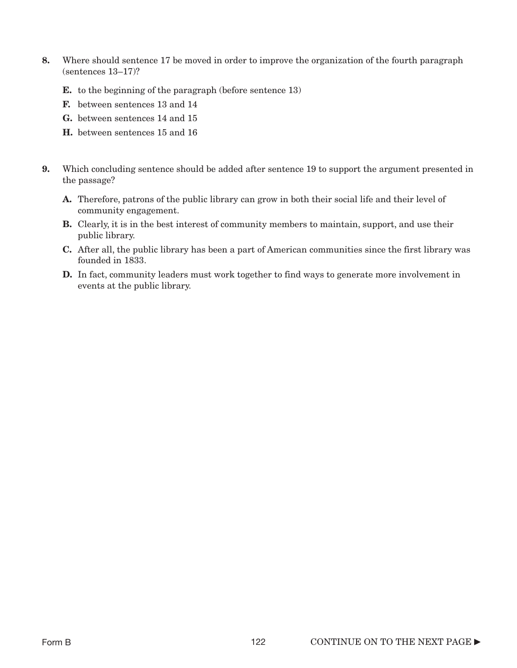- 8. Where should sentence 17 be moved in order to improve the organization of the fourth paragraph (sentences 13–17)?
	- **E.** to the beginning of the paragraph (before sentence 13)
	- F. between sentences 13 and 14
	- G. between sentences 14 and 15
	- H. between sentences 15 and 16
- 9. Which concluding sentence should be added after sentence 19 to support the argument presented in the passage?
	- A. Therefore, patrons of the public library can grow in both their social life and their level of community engagement.
	- **B.** Clearly, it is in the best interest of community members to maintain, support, and use their public library.
	- C. After all, the public library has been a part of American communities since the first library was founded in 1833.
	- **D.** In fact, community leaders must work together to find ways to generate more involvement in events at the public library.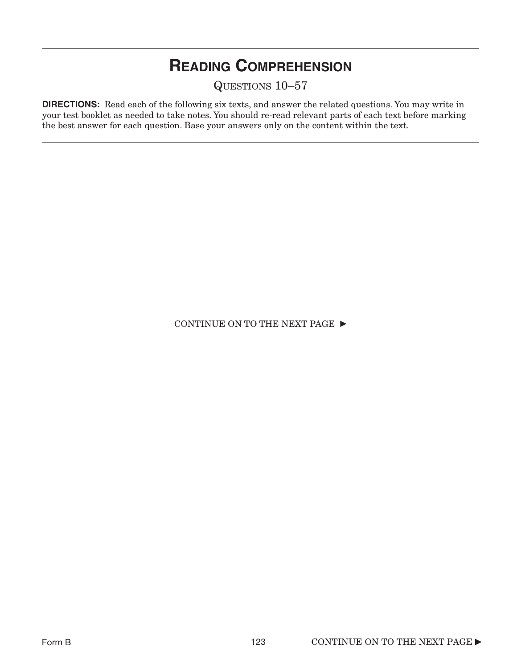# **READING COMPREHENSION**

QUESTIONS 10–57

**DIRECTIONS:** Read each of the following six texts, and answer the related questions. You may write in your test booklet as needed to take notes. You should re-read relevant parts of each text before marking the best answer for each question. Base your answers only on the content within the text.

CONTINUE ON TO THE NEXT PAGE  $\blacktriangleright$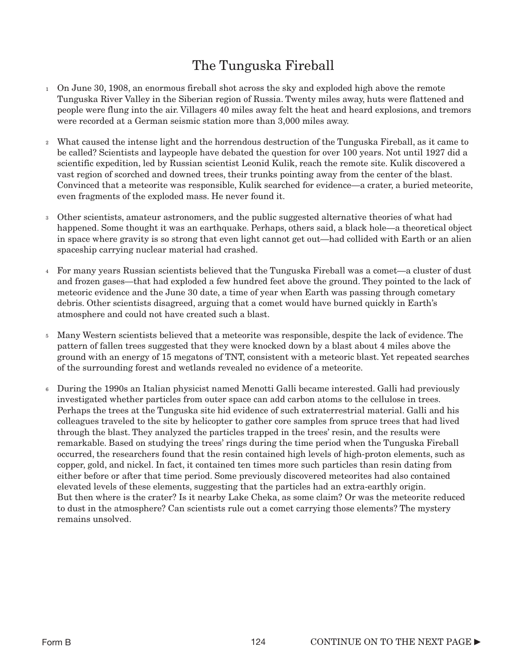## The Tunguska Fireball

- On June 30, 1908, an enormous fireball shot across the sky and exploded high above the remote 1 Tunguska River Valley in the Siberian region of Russia. Twenty miles away, huts were flattened and people were flung into the air. Villagers 40 miles away felt the heat and heard explosions, and tremors were recorded at a German seismic station more than 3,000 miles away.
- What caused the intense light and the horrendous destruction of the Tunguska Fireball, as it came to be called? Scientists and laypeople have debated the question for over 100 years. Not until 1927 did a scientific expedition, led by Russian scientist Leonid Kulik, reach the remote site. Kulik discovered a vast region of scorched and downed trees, their trunks pointing away from the center of the blast. Convinced that a meteorite was responsible, Kulik searched for evidence—a crater, a buried meteorite, even fragments of the exploded mass. He never found it.  $\overline{2}$
- Other scientists, amateur astronomers, and the public suggested alternative theories of what had 3 happened. Some thought it was an earthquake. Perhaps, others said, a black hole—a theoretical object in space where gravity is so strong that even light cannot get out—had collided with Earth or an alien spaceship carrying nuclear material had crashed.
- For many years Russian scientists believed that the Tunguska Fireball was a comet—a cluster of dust 4 and frozen gases—that had exploded a few hundred feet above the ground. They pointed to the lack of meteoric evidence and the June 30 date, a time of year when Earth was passing through cometary debris. Other scientists disagreed, arguing that a comet would have burned quickly in Earth's atmosphere and could not have created such a blast.
- Many Western scientists believed that a meteorite was responsible, despite the lack of evidence. The 5 pattern of fallen trees suggested that they were knocked down by a blast about 4 miles above the ground with an energy of 15 megatons of TNT, consistent with a meteoric blast. Yet repeated searches of the surrounding forest and wetlands revealed no evidence of a meteorite.
- During the 1990s an Italian physicist named Menotti Galli became interested. Galli had previously investigated whether particles from outer space can add carbon atoms to the cellulose in trees. Perhaps the trees at the Tunguska site hid evidence of such extraterrestrial material. Galli and his colleagues traveled to the site by helicopter to gather core samples from spruce trees that had lived through the blast. They analyzed the particles trapped in the trees' resin, and the results were remarkable. Based on studying the trees' rings during the time period when the Tunguska Fireball occurred, the researchers found that the resin contained high levels of high-proton elements, such as copper, gold, and nickel. In fact, it contained ten times more such particles than resin dating from either before or after that time period. Some previously discovered meteorites had also contained elevated levels of these elements, suggesting that the particles had an extra-earthly origin. But then where is the crater? Is it nearby Lake Cheka, as some claim? Or was the meteorite reduced to dust in the atmosphere? Can scientists rule out a comet carrying those elements? The mystery remains unsolved. 6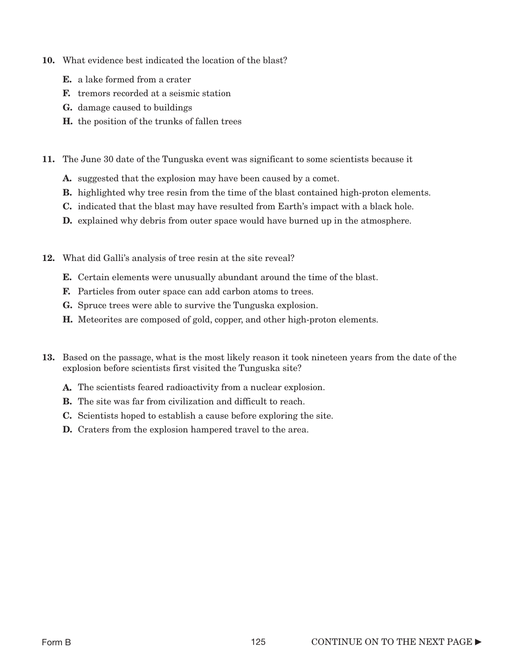- 10. What evidence best indicated the location of the blast?
	- E. a lake formed from a crater
	- F. tremors recorded at a seismic station
	- G. damage caused to buildings
	- H. the position of the trunks of fallen trees
- 11. The June 30 date of the Tunguska event was significant to some scientists because it
	- A. suggested that the explosion may have been caused by a comet.
	- **B.** highlighted why tree resin from the time of the blast contained high-proton elements.
	- C. indicated that the blast may have resulted from Earth's impact with a black hole.
	- D. explained why debris from outer space would have burned up in the atmosphere.
- 12. What did Galli's analysis of tree resin at the site reveal?
	- E. Certain elements were unusually abundant around the time of the blast.
	- F. Particles from outer space can add carbon atoms to trees.
	- G. Spruce trees were able to survive the Tunguska explosion.
	- H. Meteorites are composed of gold, copper, and other high-proton elements.
- 13. Based on the passage, what is the most likely reason it took nineteen years from the date of the explosion before scientists first visited the Tunguska site?
	- A. The scientists feared radioactivity from a nuclear explosion.
	- B. The site was far from civilization and difficult to reach.
	- C. Scientists hoped to establish a cause before exploring the site.
	- D. Craters from the explosion hampered travel to the area.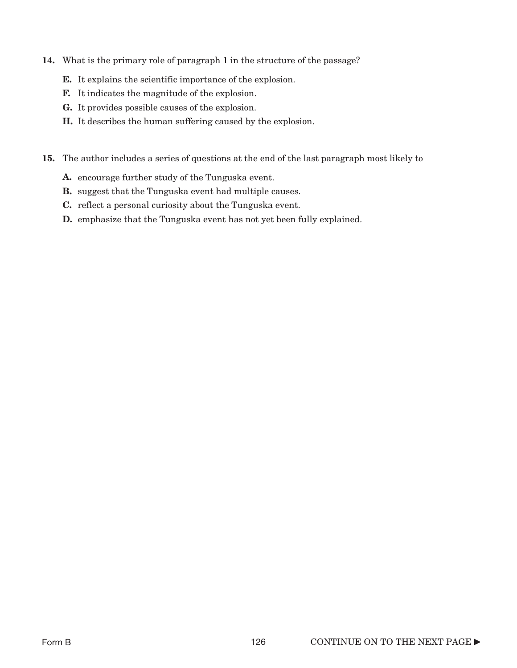- 14. What is the primary role of paragraph 1 in the structure of the passage?
	- E. It explains the scientific importance of the explosion.
	- F. It indicates the magnitude of the explosion.
	- G. It provides possible causes of the explosion.
	- H. It describes the human suffering caused by the explosion.
- 15. The author includes a series of questions at the end of the last paragraph most likely to
	- A. encourage further study of the Tunguska event.
	- **B.** suggest that the Tunguska event had multiple causes.
	- C. reflect a personal curiosity about the Tunguska event.
	- **D.** emphasize that the Tunguska event has not yet been fully explained.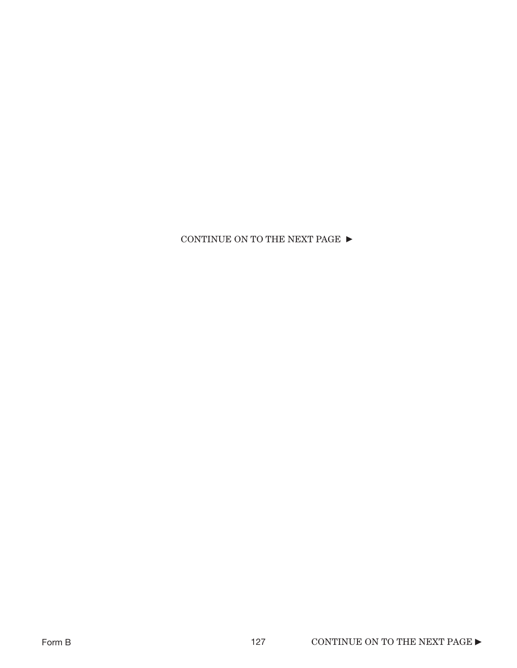### CONTINUE ON TO THE NEXT PAGE  $\blacktriangleright$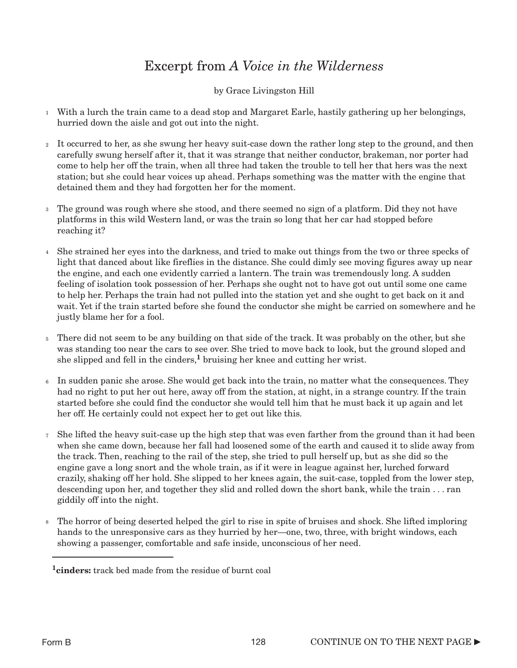### Excerpt from *A Voice in the Wilderness*

#### by Grace Livingston Hill

- With a lurch the train came to a dead stop and Margaret Earle, hastily gathering up her belongings, 1 hurried down the aisle and got out into the night.
- $_2$  It occurred to her, as she swung her heavy suit-case down the rather long step to the ground, and then carefully swung herself after it, that it was strange that neither conductor, brakeman, nor porter had come to help her off the train, when all three had taken the trouble to tell her that hers was the next station; but she could hear voices up ahead. Perhaps something was the matter with the engine that detained them and they had forgotten her for the moment.
- The ground was rough where she stood, and there seemed no sign of a platform. Did they not have 3 platforms in this wild Western land, or was the train so long that her car had stopped before reaching it?
- She strained her eyes into the darkness, and tried to make out things from the two or three specks of 4 light that danced about like fireflies in the distance. She could dimly see moving figures away up near the engine, and each one evidently carried a lantern. The train was tremendously long. A sudden feeling of isolation took possession of her. Perhaps she ought not to have got out until some one came to help her. Perhaps the train had not pulled into the station yet and she ought to get back on it and wait. Yet if the train started before she found the conductor she might be carried on somewhere and he justly blame her for a fool.
- There did not seem to be any building on that side of the track. It was probably on the other, but she was standing too near the cars to see over. She tried to move back to look, but the ground sloped and she slipped and fell in the cinders,<sup>1</sup> bruising her knee and cutting her wrist. 5
- In sudden panic she arose. She would get back into the train, no matter what the consequences. They 6 had no right to put her out here, away off from the station, at night, in a strange country. If the train started before she could find the conductor she would tell him that he must back it up again and let her off. He certainly could not expect her to get out like this.
- 7 She lifted the heavy suit-case up the high step that was even farther from the ground than it had been when she came down, because her fall had loosened some of the earth and caused it to slide away from the track. Then, reaching to the rail of the step, she tried to pull herself up, but as she did so the engine gave a long snort and the whole train, as if it were in league against her, lurched forward crazily, shaking off her hold. She slipped to her knees again, the suit-case, toppled from the lower step, descending upon her, and together they slid and rolled down the short bank, while the train . . . ran giddily off into the night.
- The horror of being deserted helped the girl to rise in spite of bruises and shock. She lifted imploring 8hands to the unresponsive cars as they hurried by her—one, two, three, with bright windows, each showing a passenger, comfortable and safe inside, unconscious of her need.

<sup>1</sup>cinders: track bed made from the residue of burnt coal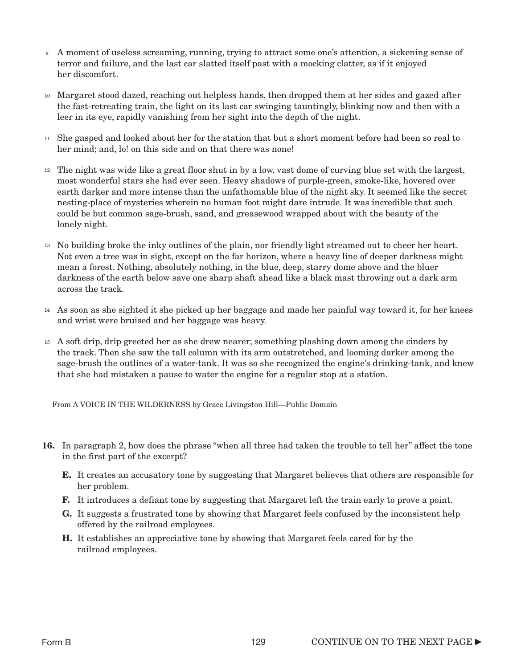- A moment of useless screaming, running, trying to attract some one's attention, a sickening sense of terror and failure, and the last car slatted itself past with a mocking clatter, as if it enjoyed her discomfort. 9
- Margaret stood dazed, reaching out helpless hands, then dropped them at her sides and gazed after 10 the fast-retreating train, the light on its last car swinging tauntingly, blinking now and then with a leer in its eye, rapidly vanishing from her sight into the depth of the night.
- <sup>11</sup> She gasped and looked about her for the station that but a short moment before had been so real to her mind; and, lo! on this side and on that there was none!
- The night was wide like a great floor shut in by a low, vast dome of curving blue set with the largest, 12 most wonderful stars she had ever seen. Heavy shadows of purple-green, smoke-like, hovered over earth darker and more intense than the unfathomable blue of the night sky. It seemed like the secret nesting-place of mysteries wherein no human foot might dare intrude. It was incredible that such could be but common sage-brush, sand, and greasewood wrapped about with the beauty of the lonely night.
- No building broke the inky outlines of the plain, nor friendly light streamed out to cheer her heart. 13 Not even a tree was in sight, except on the far horizon, where a heavy line of deeper darkness might mean a forest. Nothing, absolutely nothing, in the blue, deep, starry dome above and the bluer darkness of the earth below save one sharp shaft ahead like a black mast throwing out a dark arm across the track.
- As soon as she sighted it she picked up her baggage and made her painful way toward it, for her knees 14 and wrist were bruised and her baggage was heavy.
- A soft drip, drip greeted her as she drew nearer; something plashing down among the cinders by 15 the track. Then she saw the tall column with its arm outstretched, and looming darker among the sage-brush the outlines of a water-tank. It was so she recognized the engine's drinking-tank, and knew that she had mistaken a pause to water the engine for a regular stop at a station.

From A VOICE IN THE WILDERNESS by Grace Livingston Hill—Public Domain

- 16. In paragraph 2, how does the phrase "when all three had taken the trouble to tell her" affect the tone in the first part of the excerpt?
	- E. It creates an accusatory tone by suggesting that Margaret believes that others are responsible for her problem.
	- F. It introduces a defiant tone by suggesting that Margaret left the train early to prove a point.
	- G. It suggests a frustrated tone by showing that Margaret feels confused by the inconsistent help offered by the railroad employees.
	- H. It establishes an appreciative tone by showing that Margaret feels cared for by the railroad employees.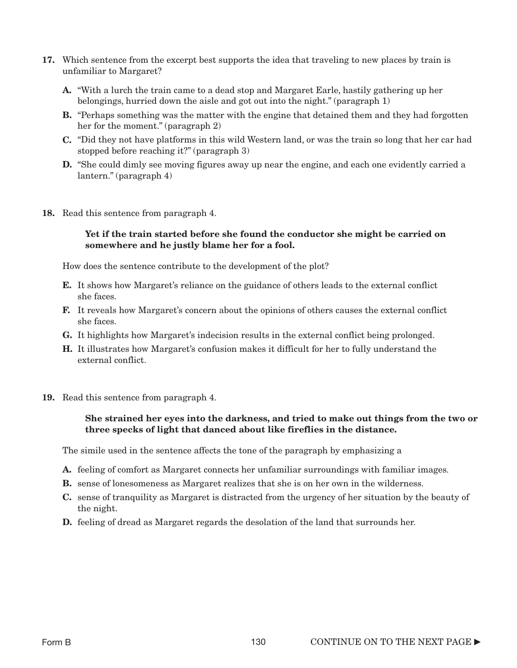- 17. Which sentence from the excerpt best supports the idea that traveling to new places by train is unfamiliar to Margaret?
	- A. "With a lurch the train came to a dead stop and Margaret Earle, hastily gathering up her belongings, hurried down the aisle and got out into the night." (paragraph 1)
	- B. "Perhaps something was the matter with the engine that detained them and they had forgotten her for the moment." (paragraph 2)
	- C. "Did they not have platforms in this wild Western land, or was the train so long that her car had stopped before reaching it?" (paragraph 3)
	- D. "She could dimly see moving figures away up near the engine, and each one evidently carried a lantern." (paragraph 4)
- 18. Read this sentence from paragraph 4.

#### Yet if the train started before she found the conductor she might be carried on somewhere and he justly blame her for a fool.

How does the sentence contribute to the development of the plot?

- E. It shows how Margaret's reliance on the guidance of others leads to the external conflict she faces.
- F. It reveals how Margaret's concern about the opinions of others causes the external conflict she faces.
- G. It highlights how Margaret's indecision results in the external conflict being prolonged.
- H. It illustrates how Margaret's confusion makes it difficult for her to fully understand the external conflict.
- 19. Read this sentence from paragraph 4.

#### She strained her eyes into the darkness, and tried to make out things from the two or three specks of light that danced about like fireflies in the distance.

The simile used in the sentence affects the tone of the paragraph by emphasizing a

- A. feeling of comfort as Margaret connects her unfamiliar surroundings with familiar images.
- B. sense of lonesomeness as Margaret realizes that she is on her own in the wilderness.
- C. sense of tranquility as Margaret is distracted from the urgency of her situation by the beauty of the night.
- D. feeling of dread as Margaret regards the desolation of the land that surrounds her.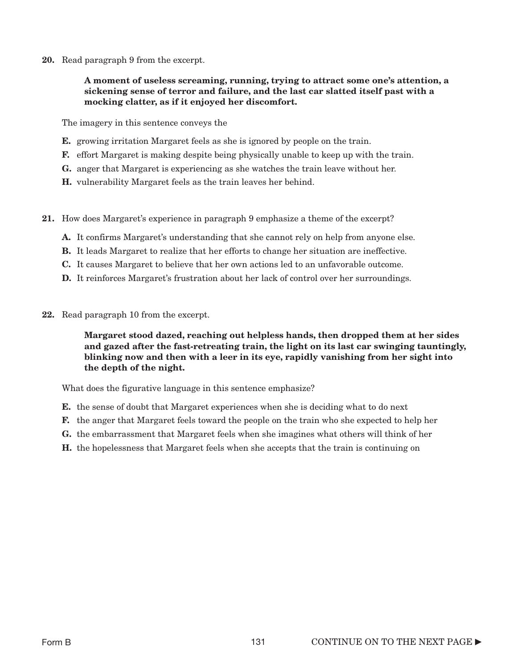20. Read paragraph 9 from the excerpt.

#### A moment of useless screaming, running, trying to attract some one's attention, a sickening sense of terror and failure, and the last car slatted itself past with a mocking clatter, as if it enjoyed her discomfort.

The imagery in this sentence conveys the

- E. growing irritation Margaret feels as she is ignored by people on the train.
- F. effort Margaret is making despite being physically unable to keep up with the train.
- G. anger that Margaret is experiencing as she watches the train leave without her.
- H. vulnerability Margaret feels as the train leaves her behind.
- 21. How does Margaret's experience in paragraph 9 emphasize a theme of the excerpt?
	- A. It confirms Margaret's understanding that she cannot rely on help from anyone else.
	- B. It leads Margaret to realize that her efforts to change her situation are ineffective.
	- C. It causes Margaret to believe that her own actions led to an unfavorable outcome.
	- D. It reinforces Margaret's frustration about her lack of control over her surroundings.
- 22. Read paragraph 10 from the excerpt.

#### Margaret stood dazed, reaching out helpless hands, then dropped them at her sides and gazed after the fast-retreating train, the light on its last car swinging tauntingly, blinking now and then with a leer in its eye, rapidly vanishing from her sight into the depth of the night.

What does the figurative language in this sentence emphasize?

- E. the sense of doubt that Margaret experiences when she is deciding what to do next
- F. the anger that Margaret feels toward the people on the train who she expected to help her
- G. the embarrassment that Margaret feels when she imagines what others will think of her
- H. the hopelessness that Margaret feels when she accepts that the train is continuing on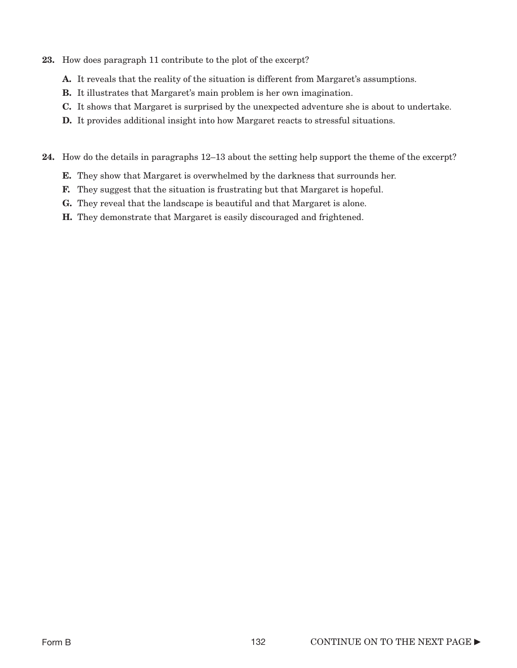- 23. How does paragraph 11 contribute to the plot of the excerpt?
	- A. It reveals that the reality of the situation is different from Margaret's assumptions.
	- B. It illustrates that Margaret's main problem is her own imagination.
	- C. It shows that Margaret is surprised by the unexpected adventure she is about to undertake.
	- D. It provides additional insight into how Margaret reacts to stressful situations.

24. How do the details in paragraphs 12–13 about the setting help support the theme of the excerpt?

- E. They show that Margaret is overwhelmed by the darkness that surrounds her.
- F. They suggest that the situation is frustrating but that Margaret is hopeful.
- G. They reveal that the landscape is beautiful and that Margaret is alone.
- H. They demonstrate that Margaret is easily discouraged and frightened.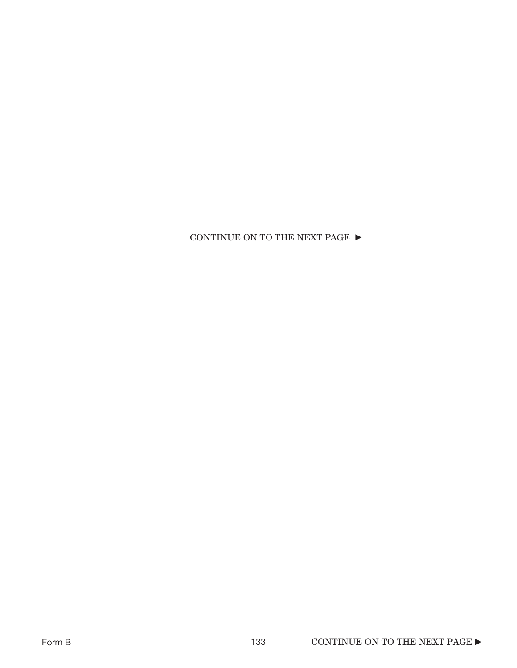CONTINUE ON TO THE NEXT PAGE  $\blacktriangleright$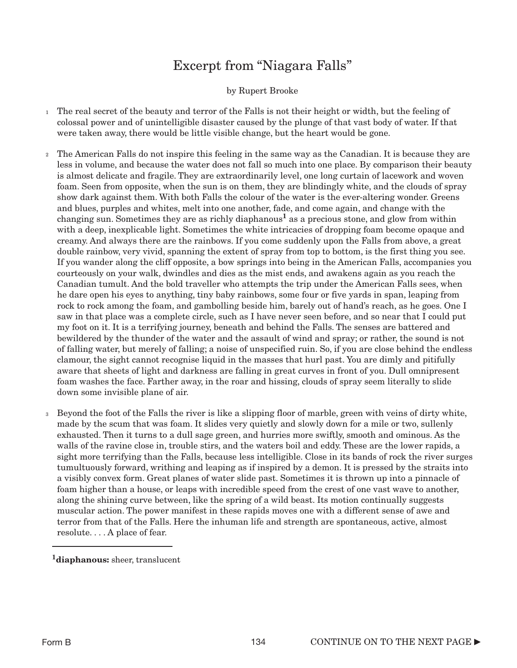## Excerpt from "Niagara Falls"

by Rupert Brooke

- <sup>1</sup> The real secret of the beauty and terror of the Falls is not their height or width, but the feeling of colossal power and of unintelligible disaster caused by the plunge of that vast body of water. If that were taken away, there would be little visible change, but the heart would be gone.
- The American Falls do not inspire this feeling in the same way as the Canadian. It is because they are less in volume, and because the water does not fall so much into one place. By comparison their beauty is almost delicate and fragile. They are extraordinarily level, one long curtain of lacework and woven foam. Seen from opposite, when the sun is on them, they are blindingly white, and the clouds of spray show dark against them. With both Falls the colour of the water is the ever-altering wonder. Greens and blues, purples and whites, melt into one another, fade, and come again, and change with the changing sun. Sometimes they are as richly diaphanous<sup>1</sup> as a precious stone, and glow from within with a deep, inexplicable light. Sometimes the white intricacies of dropping foam become opaque and creamy. And always there are the rainbows. If you come suddenly upon the Falls from above, a great double rainbow, very vivid, spanning the extent of spray from top to bottom, is the first thing you see. If you wander along the cliff opposite, a bow springs into being in the American Falls, accompanies you courteously on your walk, dwindles and dies as the mist ends, and awakens again as you reach the Canadian tumult. And the bold traveller who attempts the trip under the American Falls sees, when he dare open his eyes to anything, tiny baby rainbows, some four or five yards in span, leaping from rock to rock among the foam, and gambolling beside him, barely out of hand's reach, as he goes. One I saw in that place was a complete circle, such as I have never seen before, and so near that I could put my foot on it. It is a terrifying journey, beneath and behind the Falls. The senses are battered and bewildered by the thunder of the water and the assault of wind and spray; or rather, the sound is not of falling water, but merely of falling; a noise of unspecified ruin. So, if you are close behind the endless clamour, the sight cannot recognise liquid in the masses that hurl past. You are dimly and pitifully aware that sheets of light and darkness are falling in great curves in front of you. Dull omnipresent foam washes the face. Farther away, in the roar and hissing, clouds of spray seem literally to slide down some invisible plane of air. 2
- Beyond the foot of the Falls the river is like a slipping floor of marble, green with veins of dirty white, made by the scum that was foam. It slides very quietly and slowly down for a mile or two, sullenly exhausted. Then it turns to a dull sage green, and hurries more swiftly, smooth and ominous. As the walls of the ravine close in, trouble stirs, and the waters boil and eddy. These are the lower rapids, a sight more terrifying than the Falls, because less intelligible. Close in its bands of rock the river surges tumultuously forward, writhing and leaping as if inspired by a demon. It is pressed by the straits into a visibly convex form. Great planes of water slide past. Sometimes it is thrown up into a pinnacle of foam higher than a house, or leaps with incredible speed from the crest of one vast wave to another, along the shining curve between, like the spring of a wild beast. Its motion continually suggests muscular action. The power manifest in these rapids moves one with a different sense of awe and terror from that of the Falls. Here the inhuman life and strength are spontaneous, active, almost resolute. . . . A place of fear. 3

<sup>&</sup>lt;sup>1</sup>diaphanous: sheer, translucent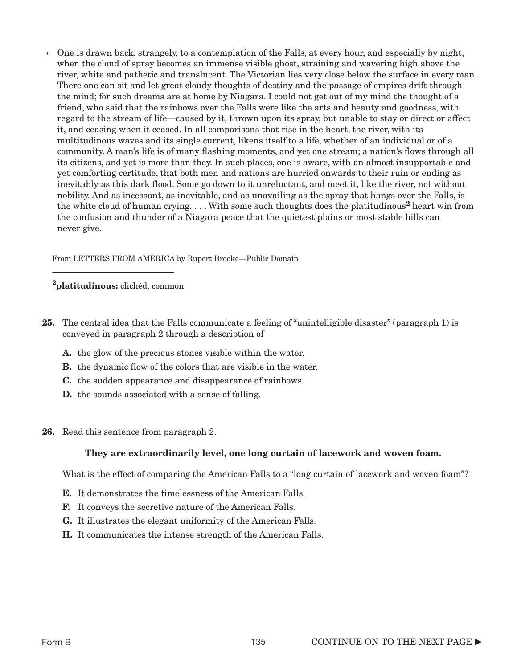One is drawn back, strangely, to a contemplation of the Falls, at every hour, and especially by night, 4 when the cloud of spray becomes an immense visible ghost, straining and wavering high above the river, white and pathetic and translucent. The Victorian lies very close below the surface in every man. There one can sit and let great cloudy thoughts of destiny and the passage of empires drift through the mind; for such dreams are at home by Niagara. I could not get out of my mind the thought of a friend, who said that the rainbows over the Falls were like the arts and beauty and goodness, with regard to the stream of life—caused by it, thrown upon its spray, but unable to stay or direct or affect it, and ceasing when it ceased. In all comparisons that rise in the heart, the river, with its multitudinous waves and its single current, likens itself to a life, whether of an individual or of a community. A man's life is of many flashing moments, and yet one stream; a nation's flows through all its citizens, and yet is more than they. In such places, one is aware, with an almost insupportable and yet comforting certitude, that both men and nations are hurried onwards to their ruin or ending as inevitably as this dark flood. Some go down to it unreluctant, and meet it, like the river, not without nobility. And as incessant, as inevitable, and as unavailing as the spray that hangs over the Falls, is the white cloud of human crying.  $\dots$  With some such thoughts does the platitudinous<sup>2</sup> heart win from the confusion and thunder of a Niagara peace that the quietest plains or most stable hills can never give.

From LETTERS FROM AMERICA by Rupert Brooke—Public Domain

2platitudinous: clichéd, common

- 25. The central idea that the Falls communicate a feeling of "unintelligible disaster" (paragraph 1) is conveyed in paragraph 2 through a description of
	- A. the glow of the precious stones visible within the water.
	- B. the dynamic flow of the colors that are visible in the water.
	- C. the sudden appearance and disappearance of rainbows.
	- D. the sounds associated with a sense of falling.
- 26. Read this sentence from paragraph 2.

#### They are extraordinarily level, one long curtain of lacework and woven foam.

What is the effect of comparing the American Falls to a "long curtain of lacework and woven foam"?

- E. It demonstrates the timelessness of the American Falls.
- F. It conveys the secretive nature of the American Falls.
- G. It illustrates the elegant uniformity of the American Falls.
- H. It communicates the intense strength of the American Falls.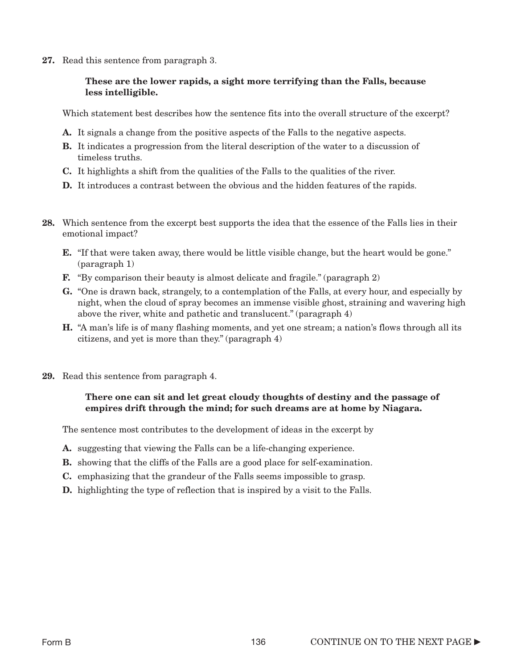27. Read this sentence from paragraph 3.

#### These are the lower rapids, a sight more terrifying than the Falls, because less intelligible.

Which statement best describes how the sentence fits into the overall structure of the excerpt?

- A. It signals a change from the positive aspects of the Falls to the negative aspects.
- B. It indicates a progression from the literal description of the water to a discussion of timeless truths.
- C. It highlights a shift from the qualities of the Falls to the qualities of the river.
- D. It introduces a contrast between the obvious and the hidden features of the rapids.
- 28. Which sentence from the excerpt best supports the idea that the essence of the Falls lies in their emotional impact?
	- E. "If that were taken away, there would be little visible change, but the heart would be gone." (paragraph 1)
	- F. "By comparison their beauty is almost delicate and fragile." (paragraph 2)
	- G. "One is drawn back, strangely, to a contemplation of the Falls, at every hour, and especially by night, when the cloud of spray becomes an immense visible ghost, straining and wavering high above the river, white and pathetic and translucent." (paragraph 4)
	- H. "A man's life is of many flashing moments, and yet one stream; a nation's flows through all its citizens, and yet is more than they." (paragraph 4)
- 29. Read this sentence from paragraph 4.

#### There one can sit and let great cloudy thoughts of destiny and the passage of empires drift through the mind; for such dreams are at home by Niagara.

The sentence most contributes to the development of ideas in the excerpt by

- A. suggesting that viewing the Falls can be a life-changing experience.
- B. showing that the cliffs of the Falls are a good place for self-examination.
- C. emphasizing that the grandeur of the Falls seems impossible to grasp.
- **D.** highlighting the type of reflection that is inspired by a visit to the Falls.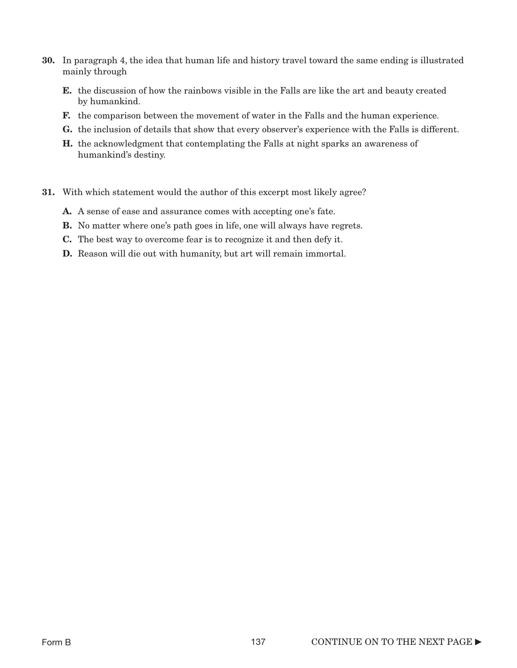- 30. In paragraph 4, the idea that human life and history travel toward the same ending is illustrated mainly through
	- E. the discussion of how the rainbows visible in the Falls are like the art and beauty created by humankind.
	- **F.** the comparison between the movement of water in the Falls and the human experience.
	- G. the inclusion of details that show that every observer's experience with the Falls is different.
	- H. the acknowledgment that contemplating the Falls at night sparks an awareness of humankind's destiny.
- 31. With which statement would the author of this excerpt most likely agree?
	- A. A sense of ease and assurance comes with accepting one's fate.
	- **B.** No matter where one's path goes in life, one will always have regrets.
	- C. The best way to overcome fear is to recognize it and then defy it.
	- D. Reason will die out with humanity, but art will remain immortal.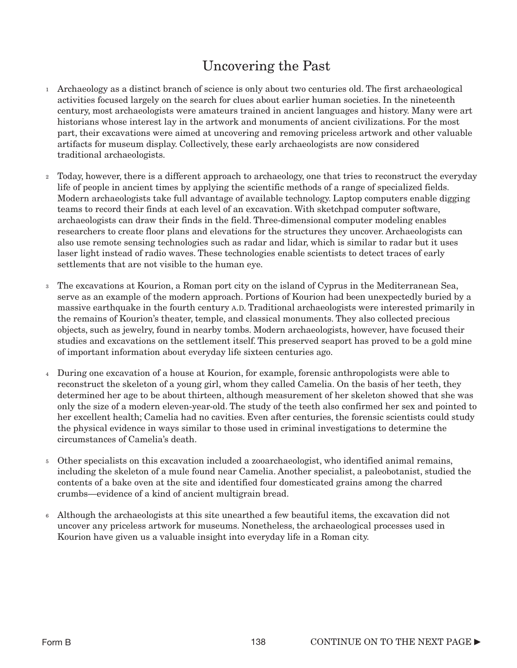## Uncovering the Past

- $_1$  Archaeology as a distinct branch of science is only about two centuries old. The first archaeological activities focused largely on the search for clues about earlier human societies. In the nineteenth century, most archaeologists were amateurs trained in ancient languages and history. Many were art historians whose interest lay in the artwork and monuments of ancient civilizations. For the most part, their excavations were aimed at uncovering and removing priceless artwork and other valuable artifacts for museum display. Collectively, these early archaeologists are now considered traditional archaeologists.
- Today, however, there is a different approach to archaeology, one that tries to reconstruct the everyday life of people in ancient times by applying the scientific methods of a range of specialized fields. Modern archaeologists take full advantage of available technology. Laptop computers enable digging teams to record their finds at each level of an excavation. With sketchpad computer software, archaeologists can draw their finds in the field. Three-dimensional computer modeling enables researchers to create floor plans and elevations for the structures they uncover. Archaeologists can also use remote sensing technologies such as radar and lidar, which is similar to radar but it uses laser light instead of radio waves. These technologies enable scientists to detect traces of early settlements that are not visible to the human eye. 2
- The excavations at Kourion, a Roman port city on the island of Cyprus in the Mediterranean Sea, serve as an example of the modern approach. Portions of Kourion had been unexpectedly buried by a massive earthquake in the fourth century A.D. Traditional archaeologists were interested primarily in the remains of Kourion's theater, temple, and classical monuments. They also collected precious objects, such as jewelry, found in nearby tombs. Modern archaeologists, however, have focused their studies and excavations on the settlement itself. This preserved seaport has proved to be a gold mine of important information about everyday life sixteen centuries ago. 3
- During one excavation of a house at Kourion, for example, forensic anthropologists were able to 4 reconstruct the skeleton of a young girl, whom they called Camelia. On the basis of her teeth, they determined her age to be about thirteen, although measurement of her skeleton showed that she was only the size of a modern eleven-year-old. The study of the teeth also confirmed her sex and pointed to her excellent health; Camelia had no cavities. Even after centuries, the forensic scientists could study the physical evidence in ways similar to those used in criminal investigations to determine the circumstances of Camelia's death.
- Other specialists on this excavation included a zooarchaeologist, who identified animal remains, 5 including the skeleton of a mule found near Camelia. Another specialist, a paleobotanist, studied the contents of a bake oven at the site and identified four domesticated grains among the charred crumbs—evidence of a kind of ancient multigrain bread.
- Although the archaeologists at this site unearthed a few beautiful items, the excavation did not 6uncover any priceless artwork for museums. Nonetheless, the archaeological processes used in Kourion have given us a valuable insight into everyday life in a Roman city.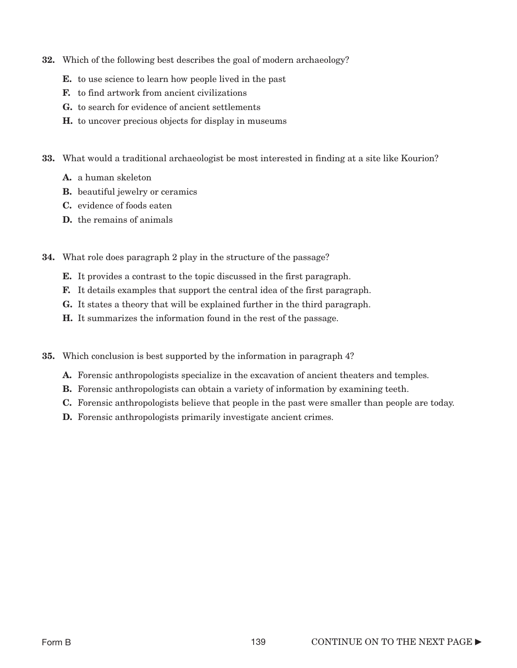- 32. Which of the following best describes the goal of modern archaeology?
	- E. to use science to learn how people lived in the past
	- F. to find artwork from ancient civilizations
	- G. to search for evidence of ancient settlements
	- H. to uncover precious objects for display in museums
- 33. What would a traditional archaeologist be most interested in finding at a site like Kourion?
	- A. a human skeleton
	- B. beautiful jewelry or ceramics
	- C. evidence of foods eaten
	- D. the remains of animals
- 34. What role does paragraph 2 play in the structure of the passage?
	- E. It provides a contrast to the topic discussed in the first paragraph.
	- F. It details examples that support the central idea of the first paragraph.
	- G. It states a theory that will be explained further in the third paragraph.
	- H. It summarizes the information found in the rest of the passage.
- 35. Which conclusion is best supported by the information in paragraph 4?
	- A. Forensic anthropologists specialize in the excavation of ancient theaters and temples.
	- B. Forensic anthropologists can obtain a variety of information by examining teeth.
	- C. Forensic anthropologists believe that people in the past were smaller than people are today.
	- D. Forensic anthropologists primarily investigate ancient crimes.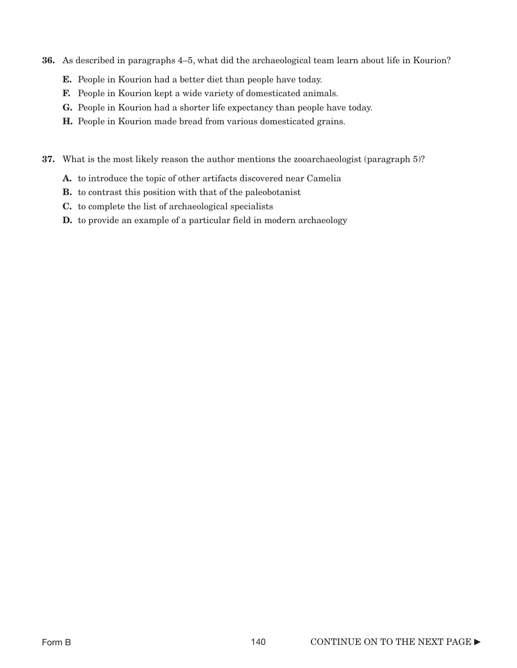- 36. As described in paragraphs 4–5, what did the archaeological team learn about life in Kourion?
	- E. People in Kourion had a better diet than people have today.
	- F. People in Kourion kept a wide variety of domesticated animals.
	- G. People in Kourion had a shorter life expectancy than people have today.
	- H. People in Kourion made bread from various domesticated grains.
- 37. What is the most likely reason the author mentions the zooarchaeologist (paragraph 5)?
	- A. to introduce the topic of other artifacts discovered near Camelia
	- B. to contrast this position with that of the paleobotanist
	- C. to complete the list of archaeological specialists
	- **D.** to provide an example of a particular field in modern archaeology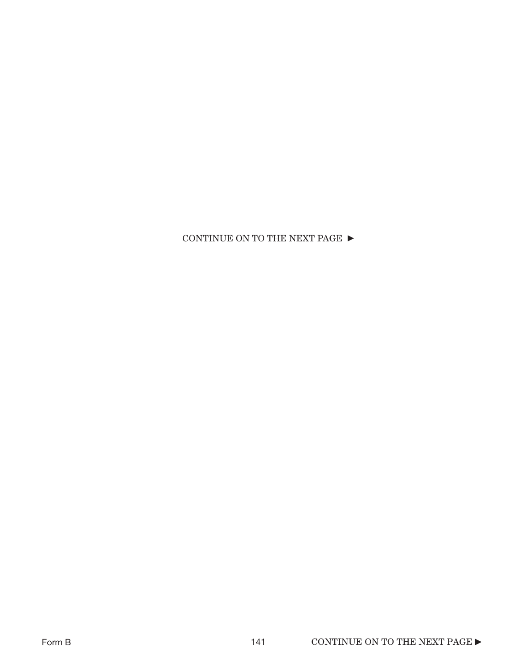### CONTINUE ON TO THE NEXT PAGE  $\blacktriangleright$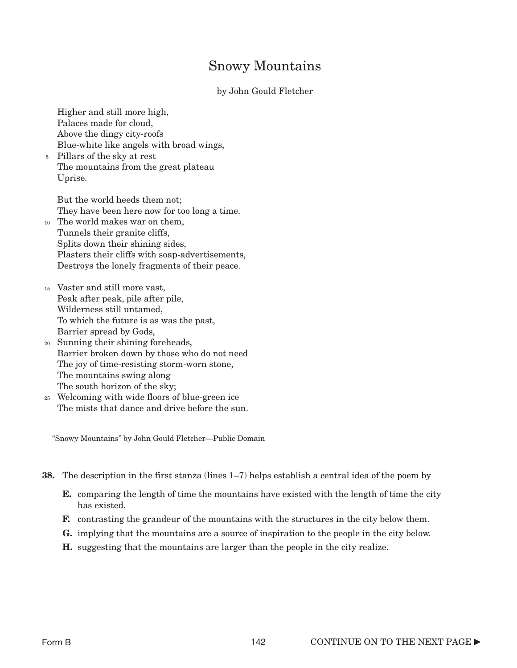### Snowy Mountains

#### by John Gould Fletcher

Higher and still more high, Palaces made for cloud, Above the dingy city-roofs Blue-white like angels with broad wings,

Pillars of the sky at rest 5 The mountains from the great plateau Uprise.

But the world heeds them not; They have been here now for too long a time.

- The world makes war on them, 10 Tunnels their granite cliffs, Splits down their shining sides, Plasters their cliffs with soap-advertisements, Destroys the lonely fragments of their peace.
- Vaster and still more vast, 15 Peak after peak, pile after pile, Wilderness still untamed, To which the future is as was the past, Barrier spread by Gods,
- Sunning their shining foreheads, 20 Barrier broken down by those who do not need The joy of time-resisting storm-worn stone, The mountains swing along The south horizon of the sky;
- Welcoming with wide floors of blue-green ice 25 The mists that dance and drive before the sun.

"Snowy Mountains" by John Gould Fletcher—Public Domain

- 38. The description in the first stanza (lines 1–7) helps establish a central idea of the poem by
	- E. comparing the length of time the mountains have existed with the length of time the city has existed.
	- F. contrasting the grandeur of the mountains with the structures in the city below them.
	- G. implying that the mountains are a source of inspiration to the people in the city below.
	- H. suggesting that the mountains are larger than the people in the city realize.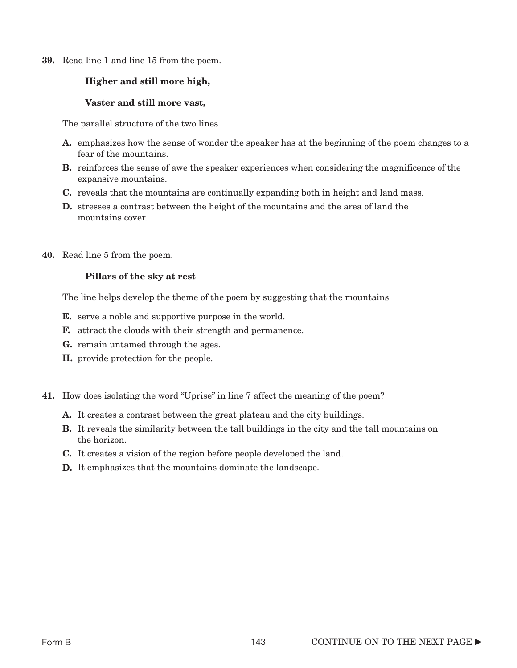39. Read line 1 and line 15 from the poem.

#### Higher and still more high,

#### Vaster and still more vast,

The parallel structure of the two lines

- A. emphasizes how the sense of wonder the speaker has at the beginning of the poem changes to a fear of the mountains.
- B. reinforces the sense of awe the speaker experiences when considering the magnificence of the expansive mountains.
- C. reveals that the mountains are continually expanding both in height and land mass.
- D. stresses a contrast between the height of the mountains and the area of land the mountains cover.
- 40. Read line 5 from the poem.

#### Pillars of the sky at rest

The line helps develop the theme of the poem by suggesting that the mountains

- **E.** serve a noble and supportive purpose in the world.
- F. attract the clouds with their strength and permanence.
- G. remain untamed through the ages.
- H. provide protection for the people.
- 41. How does isolating the word "Uprise" in line 7 affect the meaning of the poem?
	- A. It creates a contrast between the great plateau and the city buildings.
	- **B.** It reveals the similarity between the tall buildings in the city and the tall mountains on the horizon.
	- C. It creates a vision of the region before people developed the land.
	- D. It emphasizes that the mountains dominate the landscape.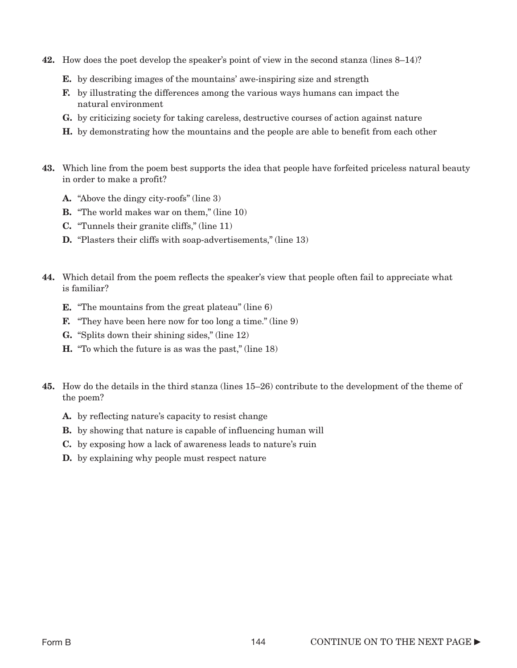- 42. How does the poet develop the speaker's point of view in the second stanza (lines 8–14)?
	- E. by describing images of the mountains' awe-inspiring size and strength
	- F. by illustrating the differences among the various ways humans can impact the natural environment
	- G. by criticizing society for taking careless, destructive courses of action against nature
	- H. by demonstrating how the mountains and the people are able to benefit from each other
- 43. Which line from the poem best supports the idea that people have forfeited priceless natural beauty in order to make a profit?
	- A. "Above the dingy city-roofs" (line 3)
	- **B.** "The world makes war on them," (line 10)
	- C. "Tunnels their granite cliffs," (line 11)
	- **D.** "Plasters their cliffs with soap-advertisements," (line 13)
- 44. Which detail from the poem reflects the speaker's view that people often fail to appreciate what is familiar?
	- **E.** "The mountains from the great plateau" (line 6)
	- F. "They have been here now for too long a time." (line 9)
	- G. "Splits down their shining sides," (line 12)
	- H. "To which the future is as was the past," (line 18)
- 45. How do the details in the third stanza (lines 15–26) contribute to the development of the theme of the poem?
	- A. by reflecting nature's capacity to resist change
	- **B.** by showing that nature is capable of influencing human will
	- C. by exposing how a lack of awareness leads to nature's ruin
	- **D.** by explaining why people must respect nature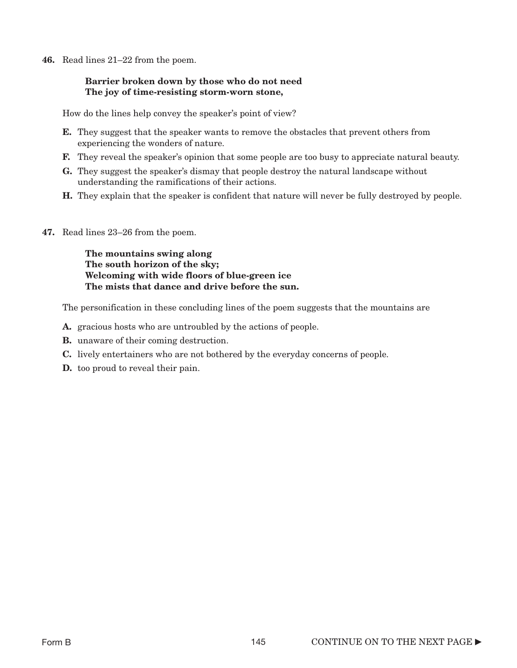46. Read lines 21–22 from the poem.

#### Barrier broken down by those who do not need The joy of time-resisting storm-worn stone,

How do the lines help convey the speaker's point of view?

- E. They suggest that the speaker wants to remove the obstacles that prevent others from experiencing the wonders of nature.
- F. They reveal the speaker's opinion that some people are too busy to appreciate natural beauty.
- G. They suggest the speaker's dismay that people destroy the natural landscape without understanding the ramifications of their actions.
- H. They explain that the speaker is confident that nature will never be fully destroyed by people.
- 47. Read lines 23–26 from the poem.

The mountains swing along The south horizon of the sky; Welcoming with wide floors of blue-green ice The mists that dance and drive before the sun.

The personification in these concluding lines of the poem suggests that the mountains are

- A. gracious hosts who are untroubled by the actions of people.
- B. unaware of their coming destruction.
- C. lively entertainers who are not bothered by the everyday concerns of people.
- **D.** too proud to reveal their pain.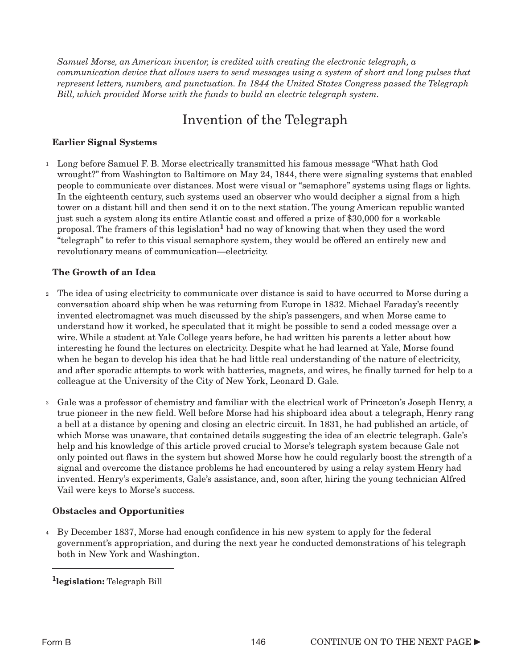*Samuel Morse, an American inventor, is credited with creating the electronic telegraph, a communication device that allows users to send messages using a system of short and long pulses that represent letters, numbers, and punctuation. In 1844 the United States Congress passed the Telegraph Bill, which provided Morse with the funds to build an electric telegraph system.*

## Invention of the Telegraph

#### Earlier Signal Systems

<sup>1</sup> Long before Samuel F. B. Morse electrically transmitted his famous message "What hath God wrought?" from Washington to Baltimore on May 24, 1844, there were signaling systems that enabled people to communicate over distances. Most were visual or "semaphore" systems using flags or lights. In the eighteenth century, such systems used an observer who would decipher a signal from a high tower on a distant hill and then send it on to the next station. The young American republic wanted just such a system along its entire Atlantic coast and offered a prize of \$30,000 for a workable proposal. The framers of this legislation<sup>1</sup> had no way of knowing that when they used the word "telegraph" to refer to this visual semaphore system, they would be offered an entirely new and revolutionary means of communication—electricity.

#### The Growth of an Idea

- The idea of using electricity to communicate over distance is said to have occurred to Morse during a 2 conversation aboard ship when he was returning from Europe in 1832. Michael Faraday's recently invented electromagnet was much discussed by the ship's passengers, and when Morse came to understand how it worked, he speculated that it might be possible to send a coded message over a wire. While a student at Yale College years before, he had written his parents a letter about how interesting he found the lectures on electricity. Despite what he had learned at Yale, Morse found when he began to develop his idea that he had little real understanding of the nature of electricity, and after sporadic attempts to work with batteries, magnets, and wires, he finally turned for help to a colleague at the University of the City of New York, Leonard D. Gale.
- $_3$   $\,$  Gale was a professor of chemistry and familiar with the electrical work of Princeton's Joseph Henry, a true pioneer in the new field. Well before Morse had his shipboard idea about a telegraph, Henry rang a bell at a distance by opening and closing an electric circuit. In 1831, he had published an article, of which Morse was unaware, that contained details suggesting the idea of an electric telegraph. Gale's help and his knowledge of this article proved crucial to Morse's telegraph system because Gale not only pointed out flaws in the system but showed Morse how he could regularly boost the strength of a signal and overcome the distance problems he had encountered by using a relay system Henry had invented. Henry's experiments, Gale's assistance, and, soon after, hiring the young technician Alfred Vail were keys to Morse's success.

#### Obstacles and Opportunities

By December 1837, Morse had enough confidence in his new system to apply for the federal 4government's appropriation, and during the next year he conducted demonstrations of his telegraph both in New York and Washington.

<sup>&</sup>lt;sup>1</sup>legislation: Telegraph Bill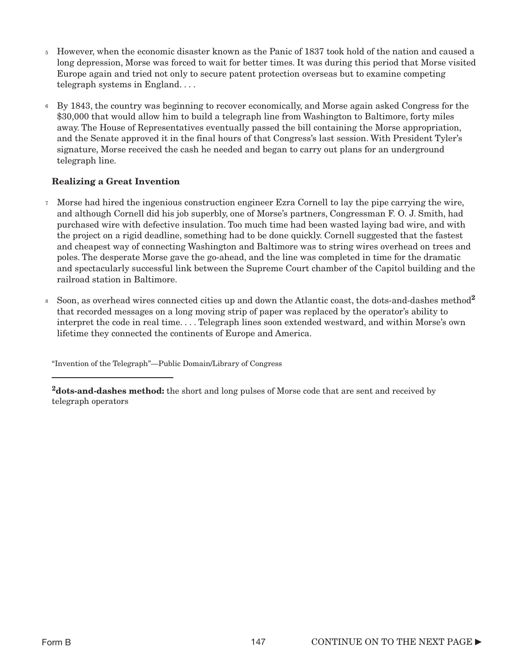- However, when the economic disaster known as the Panic of 1837 took hold of the nation and caused a long depression, Morse was forced to wait for better times. It was during this period that Morse visited Europe again and tried not only to secure patent protection overseas but to examine competing telegraph systems in England. . . . 5
- By 1843, the country was beginning to recover economically, and Morse again asked Congress for the \$30,000 that would allow him to build a telegraph line from Washington to Baltimore, forty miles away. The House of Representatives eventually passed the bill containing the Morse appropriation, and the Senate approved it in the final hours of that Congress's last session. With President Tyler's signature, Morse received the cash he needed and began to carry out plans for an underground telegraph line. 6

#### Realizing a Great Invention

- Morse had hired the ingenious construction engineer Ezra Cornell to lay the pipe carrying the wire, 7 and although Cornell did his job superbly, one of Morse's partners, Congressman F. O. J. Smith, had purchased wire with defective insulation. Too much time had been wasted laying bad wire, and with the project on a rigid deadline, something had to be done quickly. Cornell suggested that the fastest and cheapest way of connecting Washington and Baltimore was to string wires overhead on trees and poles. The desperate Morse gave the go-ahead, and the line was completed in time for the dramatic and spectacularly successful link between the Supreme Court chamber of the Capitol building and the railroad station in Baltimore.
- Soon, as overhead wires connected cities up and down the Atlantic coast, the dots-and-dashes method<sup>2</sup> that recorded messages on a long moving strip of paper was replaced by the operator's ability to interpret the code in real time. . . . Telegraph lines soon extended westward, and within Morse's own lifetime they connected the continents of Europe and America. 8

"Invention of the Telegraph"—Public Domain/Library of Congress

<sup>2</sup>dots-and-dashes method: the short and long pulses of Morse code that are sent and received by telegraph operators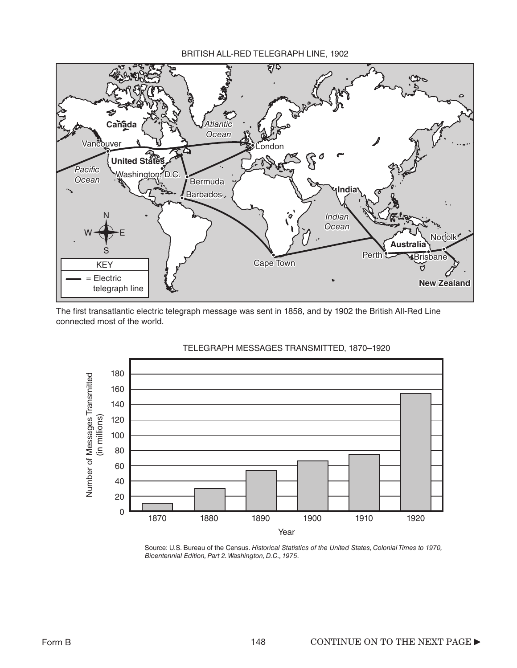

The first transatlantic electric telegraph message was sent in 1858, and by 1902 the British All-Red Line connected most of the world.



#### TELEGRAPH MESSAGES TRANSMITTED, 1870–1920

Source: U.S. Bureau of the Census. *Historical Statistics of the United States, Colonial Times to 1970, Bicentennial Edition, Part 2. Washington, D.C., 1975*.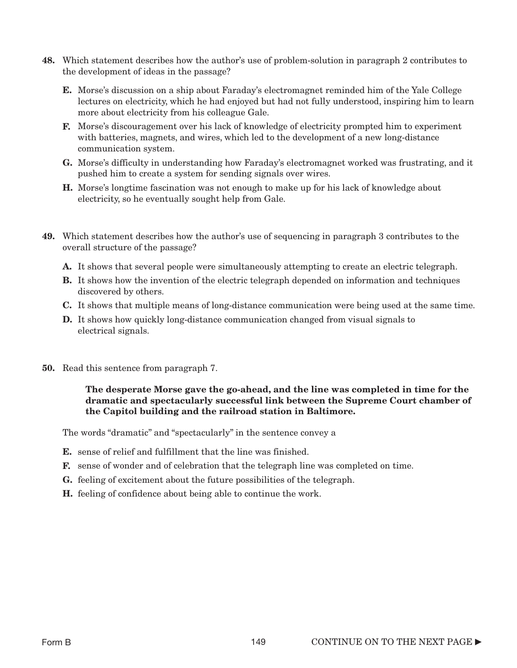- 48. Which statement describes how the author's use of problem-solution in paragraph 2 contributes to the development of ideas in the passage?
	- E. Morse's discussion on a ship about Faraday's electromagnet reminded him of the Yale College lectures on electricity, which he had enjoyed but had not fully understood, inspiring him to learn more about electricity from his colleague Gale.
	- F. Morse's discouragement over his lack of knowledge of electricity prompted him to experiment with batteries, magnets, and wires, which led to the development of a new long-distance communication system.
	- G. Morse's difficulty in understanding how Faraday's electromagnet worked was frustrating, and it pushed him to create a system for sending signals over wires.
	- H. Morse's longtime fascination was not enough to make up for his lack of knowledge about electricity, so he eventually sought help from Gale.
- 49. Which statement describes how the author's use of sequencing in paragraph 3 contributes to the overall structure of the passage?
	- A. It shows that several people were simultaneously attempting to create an electric telegraph.
	- **B.** It shows how the invention of the electric telegraph depended on information and techniques discovered by others.
	- C. It shows that multiple means of long-distance communication were being used at the same time.
	- **D.** It shows how quickly long-distance communication changed from visual signals to electrical signals.
- 50. Read this sentence from paragraph 7.

The desperate Morse gave the go-ahead, and the line was completed in time for the dramatic and spectacularly successful link between the Supreme Court chamber of the Capitol building and the railroad station in Baltimore.

The words "dramatic" and "spectacularly" in the sentence convey a

- E. sense of relief and fulfillment that the line was finished.
- F. sense of wonder and of celebration that the telegraph line was completed on time.
- G. feeling of excitement about the future possibilities of the telegraph.
- H. feeling of confidence about being able to continue the work.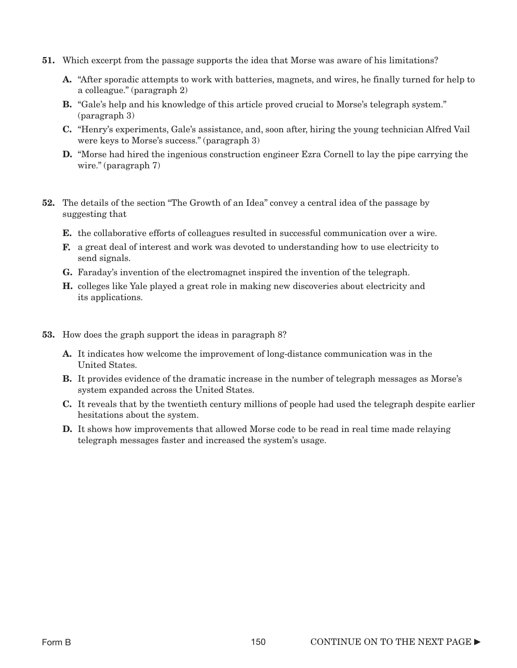- 51. Which excerpt from the passage supports the idea that Morse was aware of his limitations?
	- A. "After sporadic attempts to work with batteries, magnets, and wires, he finally turned for help to a colleague." (paragraph 2)
	- B. "Gale's help and his knowledge of this article proved crucial to Morse's telegraph system." (paragraph 3)
	- C. "Henry's experiments, Gale's assistance, and, soon after, hiring the young technician Alfred Vail were keys to Morse's success." (paragraph 3)
	- D. "Morse had hired the ingenious construction engineer Ezra Cornell to lay the pipe carrying the wire." (paragraph 7)
- 52. The details of the section "The Growth of an Idea" convey a central idea of the passage by suggesting that
	- E. the collaborative efforts of colleagues resulted in successful communication over a wire.
	- F. a great deal of interest and work was devoted to understanding how to use electricity to send signals.
	- G. Faraday's invention of the electromagnet inspired the invention of the telegraph.
	- H. colleges like Yale played a great role in making new discoveries about electricity and its applications.
- 53. How does the graph support the ideas in paragraph 8?
	- A. It indicates how welcome the improvement of long-distance communication was in the United States.
	- **B.** It provides evidence of the dramatic increase in the number of telegraph messages as Morse's system expanded across the United States.
	- C. It reveals that by the twentieth century millions of people had used the telegraph despite earlier hesitations about the system.
	- D. It shows how improvements that allowed Morse code to be read in real time made relaying telegraph messages faster and increased the system's usage.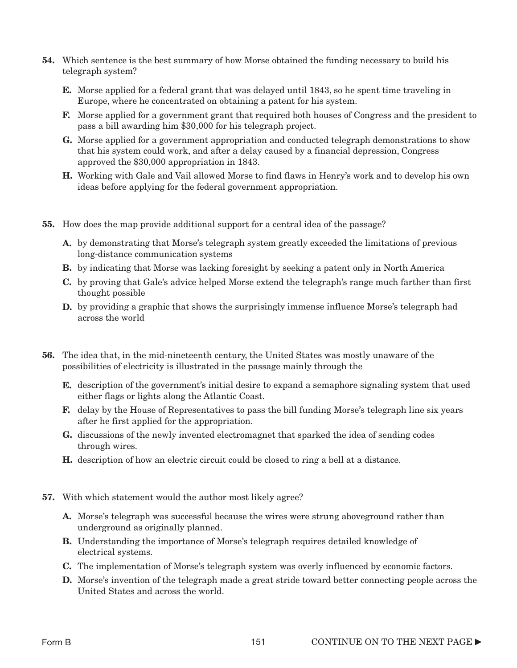- 54. Which sentence is the best summary of how Morse obtained the funding necessary to build his telegraph system?
	- E. Morse applied for a federal grant that was delayed until 1843, so he spent time traveling in Europe, where he concentrated on obtaining a patent for his system.
	- F. Morse applied for a government grant that required both houses of Congress and the president to pass a bill awarding him \$30,000 for his telegraph project.
	- G. Morse applied for a government appropriation and conducted telegraph demonstrations to show that his system could work, and after a delay caused by a financial depression, Congress approved the \$30,000 appropriation in 1843.
	- H. Working with Gale and Vail allowed Morse to find flaws in Henry's work and to develop his own ideas before applying for the federal government appropriation.
- 55. How does the map provide additional support for a central idea of the passage?
	- A. by demonstrating that Morse's telegraph system greatly exceeded the limitations of previous long-distance communication systems
	- B. by indicating that Morse was lacking foresight by seeking a patent only in North America
	- C. by proving that Gale's advice helped Morse extend the telegraph's range much farther than first thought possible
	- **D.** by providing a graphic that shows the surprisingly immense influence Morse's telegraph had across the world
- 56. The idea that, in the mid-nineteenth century, the United States was mostly unaware of the possibilities of electricity is illustrated in the passage mainly through the
	- **E.** description of the government's initial desire to expand a semaphore signaling system that used either flags or lights along the Atlantic Coast.
	- F. delay by the House of Representatives to pass the bill funding Morse's telegraph line six years after he first applied for the appropriation.
	- G. discussions of the newly invented electromagnet that sparked the idea of sending codes through wires.
	- H. description of how an electric circuit could be closed to ring a bell at a distance.
- 57. With which statement would the author most likely agree?
	- A. Morse's telegraph was successful because the wires were strung aboveground rather than underground as originally planned.
	- **B.** Understanding the importance of Morse's telegraph requires detailed knowledge of electrical systems.
	- C. The implementation of Morse's telegraph system was overly influenced by economic factors.
	- **D.** Morse's invention of the telegraph made a great stride toward better connecting people across the United States and across the world.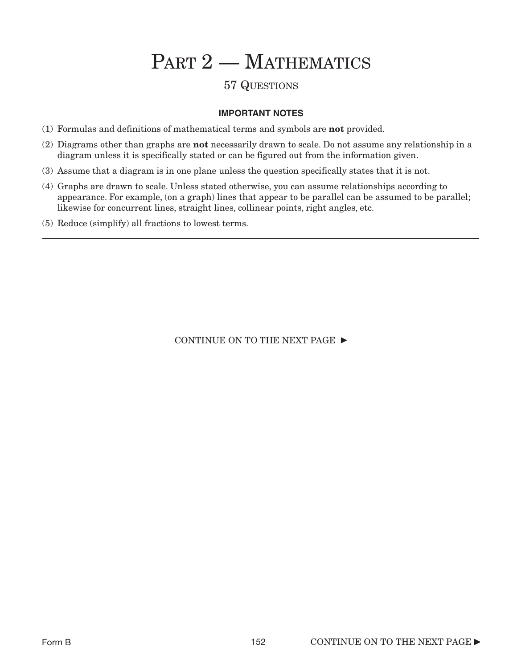# PART 2 - MATHEMATICS

### 57 QUESTIONS

#### **IMPORTANT NOTES**

- (1) Formulas and definitions of mathematical terms and symbols are not provided.
- (2) Diagrams other than graphs are not necessarily drawn to scale. Do not assume any relationship in a diagram unless it is specifically stated or can be figured out from the information given.
- (3) Assume that a diagram is in one plane unless the question specifically states that it is not.
- (4) Graphs are drawn to scale. Unless stated otherwise, you can assume relationships according to appearance. For example, (on a graph) lines that appear to be parallel can be assumed to be parallel; likewise for concurrent lines, straight lines, collinear points, right angles, etc.
- (5) Reduce (simplify) all fractions to lowest terms.

CONTINUE ON TO THE NEXT PAGE  $\blacktriangleright$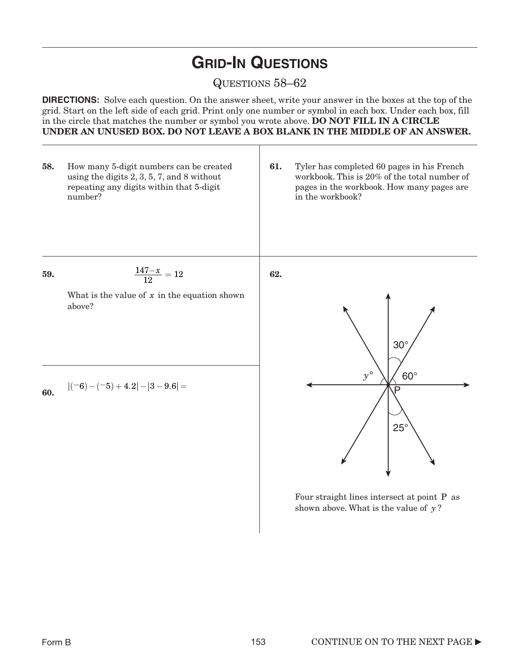# **GRID-IN QUESTIONS**

### QUESTIONS 58–62

**DIRECTIONS:** Solve each question. On the answer sheet, write your answer in the boxes at the top of the grid. Start on the left side of each grid. Print only one number or symbol in each box. Under each box, fill in the circle that matches the number or symbol you wrote above. DO NOT FILL IN A CIRCLE UNDER AN UNUSED BOX. DO NOT LEAVE A BOX BLANK IN THE MIDDLE OF AN ANSWER.



Four straight lines intersect at point P as shown above. What is the value of y?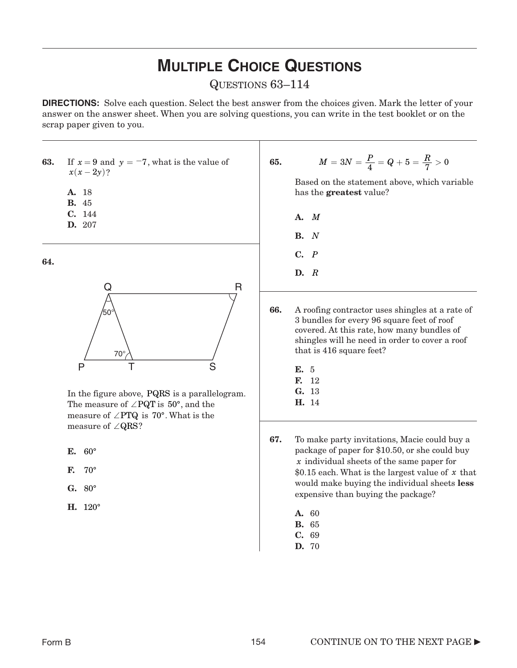# **MULTIPLE CHOICE QUESTIONS**

### QUESTIONS 63–114

**DIRECTIONS:** Solve each question. Select the best answer from the choices given. Mark the letter of your answer on the answer sheet. When you are solving questions, you can write in the test booklet or on the scrap paper given to you.

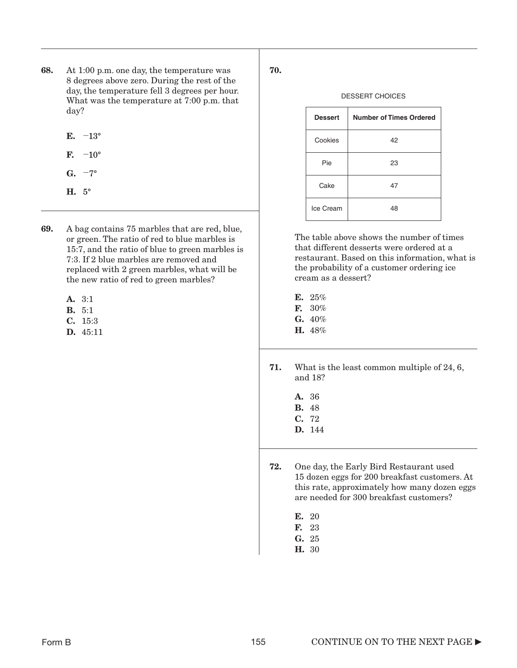- 68. At 1:00 p.m. one day, the temperature was 8 degrees above zero. During the rest of the day, the temperature fell 3 degrees per hour. What was the temperature at 7:00 p.m. that day?
	- E.  $-13^{\circ}$
	- $\mathbf{F}$ .  $-10^{\circ}$
	- G.  $-7^\circ$
	- H. 5°
- 69. A bag contains 75 marbles that are red, blue, or green. The ratio of red to blue marbles is 15:7, and the ratio of blue to green marbles is 7:3. If 2 blue marbles are removed and replaced with 2 green marbles, what will be the new ratio of red to green marbles?
	- A. 3:1
	- B. 5:1
	- C. 15:3
	- D. 45:11

#### DESSERT CHOICES

| <b>Dessert</b> | <b>Number of Times Ordered</b> |
|----------------|--------------------------------|
| Cookies        | 42                             |
| Pie            | 23                             |
| Cake           | 47                             |
| Ice Cream      | 48                             |

The table above shows the number of times that different desserts were ordered at a restaurant. Based on this information, what is the probability of a customer ordering ice cream as a dessert?

- E. 25% F. 30%
- $G. 40%$
- H. 48%
- 71. What is the least common multiple of 24, 6, and 18?
	- A. 36 B. 48 C. 72 D. 144
- 72. One day, the Early Bird Restaurant used 15 dozen eggs for 200 breakfast customers. At this rate, approximately how many dozen eggs are needed for 300 breakfast customers?
	- E. 20
	- F. 23
	- G. 25
	- H. 30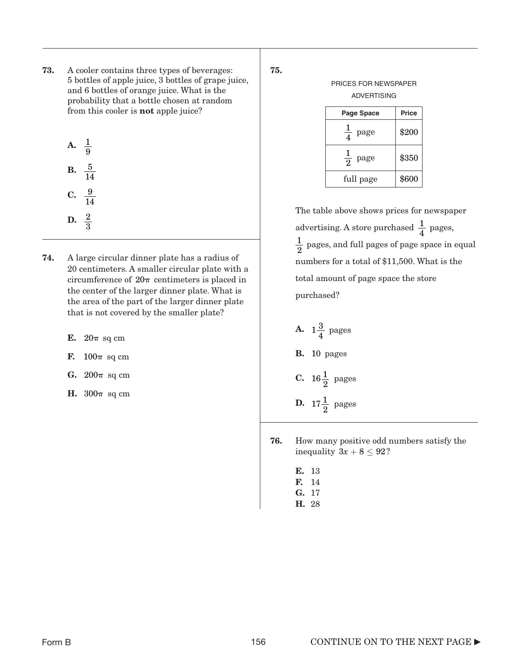73. A cooler contains three types of beverages: 5 bottles of apple juice, 3 bottles of grape juice, and 6 bottles of orange juice. What is the probability that a bottle chosen at random from this cooler is not apple juice?

A. 
$$
\frac{1}{9}
$$
  
B.  $\frac{5}{14}$   
C.  $\frac{9}{14}$ 

- **D.**  $\frac{2}{2}$
- 3
- 74. A large circular dinner plate has a radius of 20 centimeters. A smaller circular plate with a circumference of  $20\pi$  centimeters is placed in the center of the larger dinner plate. What is the area of the part of the larger dinner plate that is not covered by the smaller plate?
	- E.  $20\pi$  sq cm
	- F.  $100\pi$  sq cm
	- $G. 200\pi$  sq cm
	- **H.**  $300\pi$  sq cm

75.

| PRICES FOR NEWSPAPER |              |
|----------------------|--------------|
| <b>ADVERTISING</b>   |              |
| Page Space           | <b>Price</b> |
|                      |              |

| ---              |       |
|------------------|-------|
| page             | \$200 |
| $rac{1}{2}$ page | \$350 |
| full page        | \$600 |

The table above shows prices for newspaper advertising. A store purchased  $\frac{1}{4}$  pages,  $\frac{1}{2}$  pages, and full pages of page space in equal numbers for a total of \$11,500. What is the total amount of page space the store purchased? 4 2

- A.  $1\frac{3}{4}$  pages **B.** 10 pages **C.** 16 $\frac{1}{2}$  pages **D.**  $17\frac{1}{2}$  pages
- 76. How many positive odd numbers satisfy the inequality  $3x + 8 \leq 92$ ?
	- E. 13
	- F. 14
	- G. 17 H. 28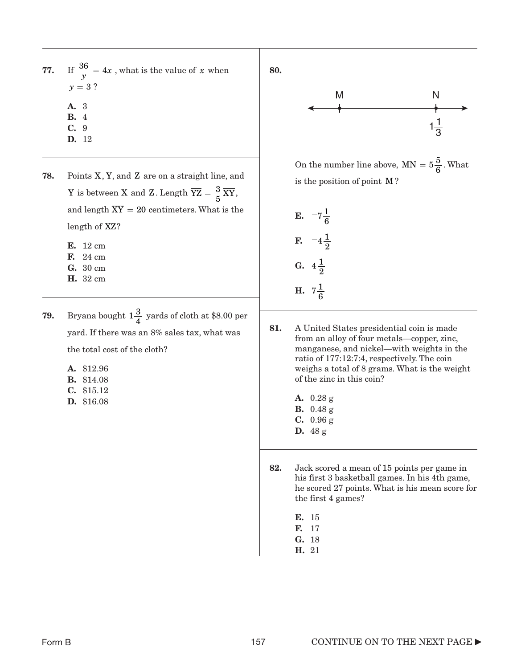- **77.** If  $\frac{36}{y} = 4x$ , what is the value of x when  $y = 3$  ?
	- A. 3
	- B. 4
	- C. 9
	- D. 12
- **78.** Points  $X, Y$ , and  $Z$  are on a straight line, and Y is between X and Z. Length  $\overline{YZ} = \frac{3}{5} \overline{XY}$ , and length  $XY = 20$  centimeters. What is the length of XZ? **E.** 12 cm **F.** 
	- F. 24 cm **G.** 30 cm **G.**  $4\frac{1}{2}$ E. 12 cm G. 30 cm
	- H. 32 cm
- **79.** Bryana bought  $1\frac{3}{4}$  yards of cloth at \$8.00 per yard. If there was an 8% sales tax, what was the total cost of the cloth?
	- A. \$12.96
	- B. \$14.08
	- C. \$15.12
	- D. \$16.08



On the number line above,  $MN = 5\frac{5}{6}$ . What is the position of point M?

E. 
$$
-7\frac{1}{6}
$$
  
\nF.  $-4\frac{1}{2}$   
\nG.  $4\frac{1}{2}$   
\nH.  $7\frac{1}{6}$ 

- 81. A United States presidential coin is made from an alloy of four metals—copper, zinc, manganese, and nickel—with weights in the ratio of 177:12:7:4, respectively. The coin weighs a total of 8 grams. What is the weight of the zinc in this coin?
	- A. 0.28 g B. 0.48 g C. 0.96 g D. 48 g
- 82. Jack scored a mean of 15 points per game in his first 3 basketball games. In his 4th game, he scored 27 points. What is his mean score for the first 4 games?
	- E. 15 F. 17 G. 18 H. 21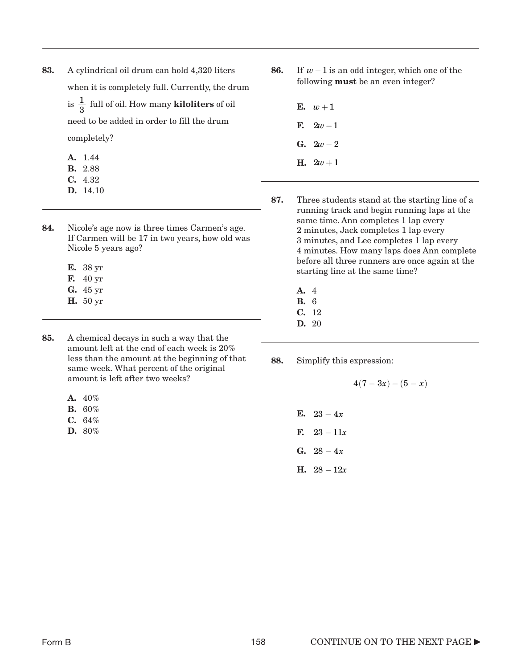- 83. A cylindrical oil drum can hold 4,320 liters when it is completely full. Currently, the drum is  $\frac{1}{2}$  full of oil. How many **kiloliters** of oil need to be added in order to fill the drum completely? 3
	- A. 1.44
	- B. 2.88
	- C. 4.32 D. 14.10
- 84. Nicole's age now is three times Carmen's age. If Carmen will be 17 in two years, how old was Nicole 5 years ago?
	- E. 38 yr
	- F. 40 yr
	- G. 45 yr
	- H. 50 yr
- 85. A chemical decays in such a way that the amount left at the end of each week is 20% less than the amount at the beginning of that same week. What percent of the original amount is left after two weeks?
	- **A.**  $40\%$
	- B. 60%
	- $C. 64%$
	- D. 80%
- 86. If  $w-1$  is an odd integer, which one of the following must be an even integer?
	- $E. \t w+1$
	- **F.**  $2w 1$
	- G.  $2w 2$
	- $H. 2w + 1$
- 87. Three students stand at the starting line of a running track and begin running laps at the same time. Ann completes 1 lap every 2 minutes, Jack completes 1 lap every 3 minutes, and Lee completes 1 lap every 4 minutes. How many laps does Ann complete before all three runners are once again at the starting line at the same time?
	- A. 4
	- B. 6
	- C. 12 D. 20
- 88. Simplify this expression:
	- $4(7 3x) (5 x)$ E.  $23 - 4x$ **F.**  $23 - 11x$ G.  $28 - 4x$ **H.**  $28 - 12x$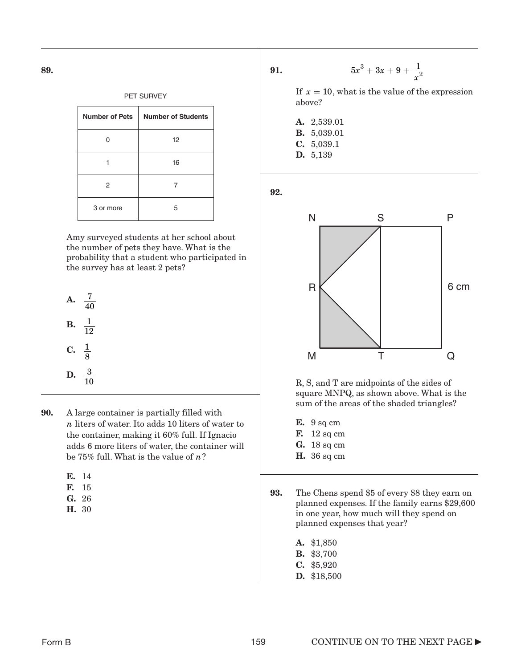| <b>Number of Pets</b> | <b>Number of Students</b> |
|-----------------------|---------------------------|
|                       | 12                        |
|                       | 16                        |
| 2                     |                           |
| 3 or more             | 5                         |

Amy surveyed students at her school about the number of pets they have. What is the probability that a student who participated in the survey has at least 2 pets?

**A.** 
$$
\frac{7}{40}
$$
  
**B.**  $\frac{1}{12}$   
**C.**  $\frac{1}{8}$   
**D.**  $\frac{3}{10}$ 

90. A large container is partially filled with n liters of water. Ito adds 10 liters of water to the container, making it 60% full. If Ignacio adds 6 more liters of water, the container will be  $75\%$  full. What is the value of  $n$  ?

- F. 15
- G. 26
- H. 30

91.  $x^3 + 3x$  $5x^3 + 3x + 9 + \frac{1}{x^2}$ 

> If  $x = 10$ , what is the value of the expression above?

A. 2,539.01 B. 5,039.01 C. 5,039.1 D. 5,139

92.



R, S, and T are midpoints of the sides of square MNPQ, as shown above. What is the sum of the areas of the shaded triangles?

- E. 9 sq cm
- **F.** 12 sq cm
- G. 18 sq cm
- **H.** 36 sq cm
- 93. The Chens spend \$5 of every \$8 they earn on planned expenses. If the family earns \$29,600 in one year, how much will they spend on planned expenses that year?
	- A. \$1,850 B. \$3,700 C. \$5,920 D. \$18,500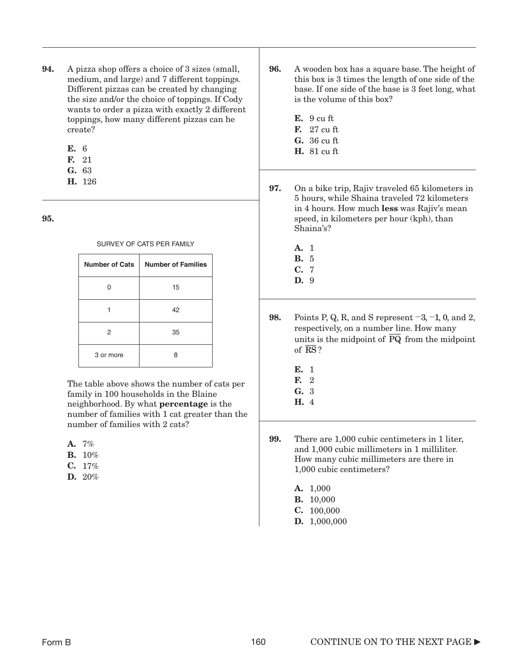- 94. A pizza shop offers a choice of 3 sizes (small, medium, and large) and 7 different toppings. Different pizzas can be created by changing the size and/or the choice of toppings. If Cody wants to order a pizza with exactly 2 different toppings, how many different pizzas can he create?
	- E. 6
	- F. 21
	- G. 63
	- H. 126

#### SURVEY OF CATS PER FAMILY

| <b>Number of Cats</b> | <b>Number of Families</b> |
|-----------------------|---------------------------|
|                       | 15                        |
|                       | 42                        |
| 2                     | 35                        |
| 3 or more             | 8                         |

The table above shows the number of cats per family in 100 households in the Blaine neighborhood. By what percentage is the number of families with 1 cat greater than the number of families with 2 cats?

- A. 7%
- **B.** 10%
- C. 17%
- D. 20%
- 96. A wooden box has a square base. The height of this box is 3 times the length of one side of the base. If one side of the base is 3 feet long, what is the volume of this box?
	- E. 9 cu ft F. 27 cu ft
	- G. 36 cu ft
	- H. 81 cu ft
- 97. On a bike trip, Rajiv traveled 65 kilometers in 5 hours, while Shaina traveled 72 kilometers in 4 hours. How much less was Rajiv's mean speed, in kilometers per hour (kph), than Shaina's?
	- A. 1 B. 5 C. 7
	- D. 9

**98.** Points P, Q, R, and S represent  $-3$ ,  $-1$ , 0, and 2, respectively, on a number line. How many units is the midpoint of PQ from the midpoint of RS?

- E. 1
- F. 2
- G. 3
- H. 4

99. There are 1,000 cubic centimeters in 1 liter, and 1,000 cubic millimeters in 1 milliliter. How many cubic millimeters are there in 1,000 cubic centimeters?

- A. 1,000
- B. 10,000
- C. 100,000
- D. 1,000,000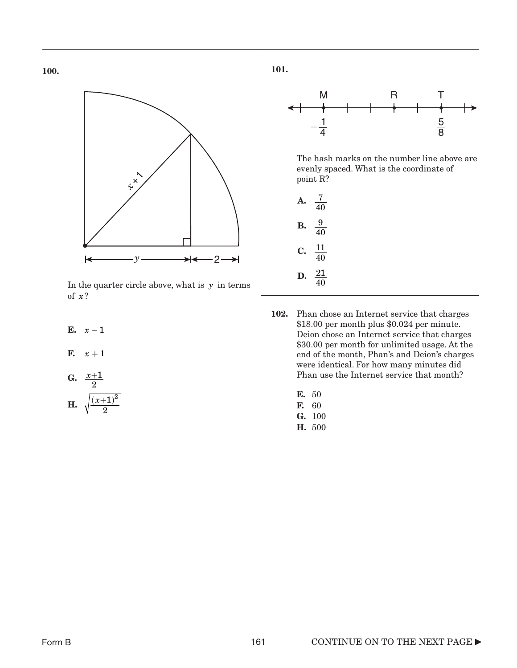

In the quarter circle above, what is  $y$  in terms of ? *x*

- E.  $x-1$
- F.  $x+1$
- G.  $\frac{x+1}{2}$ 2
- **H.**  $\sqrt{\frac{(x+1)^2}{2}}$  **F.** 60  $(x+1)^2$

101.



The hash marks on the number line above are evenly spaced. What is the coordinate of point R?

| A  | 40                   |
|----|----------------------|
| B. | 9<br>40              |
| C. | 11<br>40             |
| D. | 21<br>$\frac{1}{40}$ |

- 102. Phan chose an Internet service that charges \$18.00 per month plus \$0.024 per minute. Deion chose an Internet service that charges \$30.00 per month for unlimited usage. At the end of the month, Phan's and Deion's charges were identical. For how many minutes did Phan use the Internet service that month?
	- E. 50
	- F. 60
	- G. 100
	- H. 500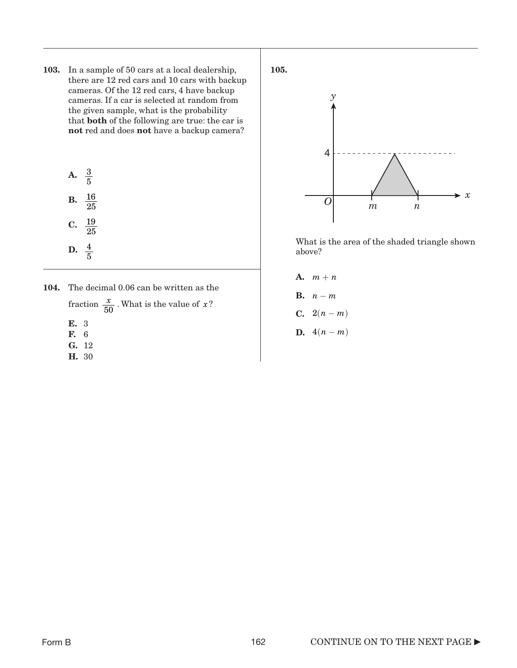103. In a sample of 50 cars at a local dealership, there are 12 red cars and 10 cars with backup cameras. Of the 12 red cars, 4 have backup cameras. If a car is selected at random from the given sample, what is the probability that both of the following are true: the car is not red and does not have a backup camera?

**A.** 
$$
\frac{3}{5}
$$
  
**B.**  $\frac{16}{25}$   
**C.**  $\frac{19}{25}$   
**D.**  $\frac{4}{5}$ 

- 104. The decimal 0.06 can be written as the fraction  $\frac{x}{50}$ . What is the value of x?
	- E. 3
	- F. 6
	- G. 12
	- H. 30





What is the area of the shaded triangle shown above?

A.  $m + n$ B.  $n-m$ **C.**  $2(n-m)$ **D.**  $4(n-m)$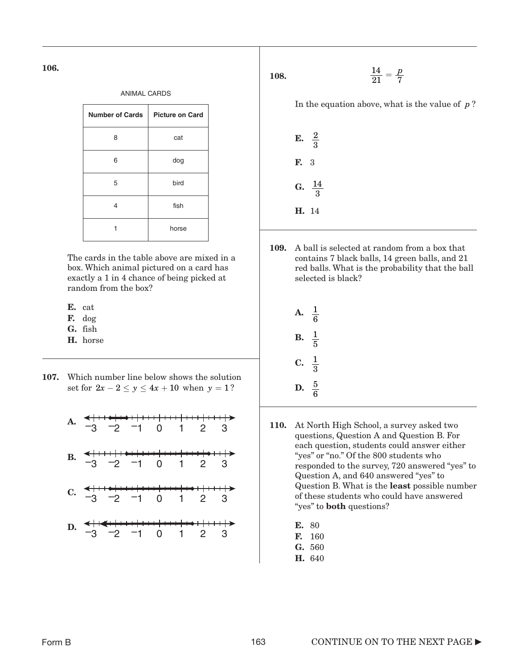| <b>ANIMAL CARDS</b>    |                        |
|------------------------|------------------------|
| <b>Number of Cards</b> | <b>Picture on Card</b> |
| 8                      | cat                    |
| 6                      | dog                    |
| 5                      | bird                   |
| 4                      | fish                   |
|                        | horse                  |

The cards in the table above are mixed in a box. Which animal pictured on a card has exactly a 1 in 4 chance of being picked at random from the box?

- E. cat
- F. dog
- G. fish
- H. horse
- 107. Which number line below shows the solution set for  $2x - 2 \le y \le 4x + 10$  when  $y = 1$ ?



108.  $\frac{14}{21} = \frac{p}{7}$ 

In the equation above, what is the value of  $p$ ?

**E.** 
$$
\frac{2}{3}
$$
  
**F.** 3  
**G.**  $\frac{14}{3}$   
**H.** 14

109. A ball is selected at random from a box that contains 7 black balls, 14 green balls, and 21 red balls. What is the probability that the ball selected is black?

| $\mathbf{A}$ . | $\frac{1}{6}$ |
|----------------|---------------|
| В.             | $\frac{1}{5}$ |
| C.             | $\frac{1}{3}$ |
| D.             | $rac{5}{6}$   |

- 110. At North High School, a survey asked two questions, Question A and Question B. For each question, students could answer either "yes" or "no." Of the 800 students who responded to the survey, 720 answered "yes" to Question A, and 640 answered "yes" to Question B. What is the least possible number of these students who could have answered "yes" to **both** questions?
	- E. 80
	- F. 160
	- G. 560
	- H. 640